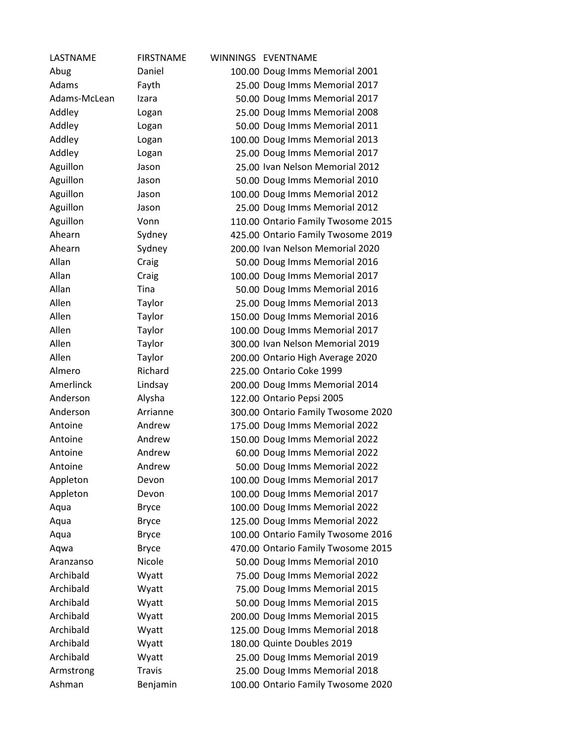| LASTNAME     | <b>FIRSTNAME</b> | WINNINGS EVENTNAME                 |
|--------------|------------------|------------------------------------|
| Abug         | Daniel           | 100.00 Doug Imms Memorial 2001     |
| Adams        | Fayth            | 25.00 Doug Imms Memorial 2017      |
| Adams-McLean | Izara            | 50.00 Doug Imms Memorial 2017      |
| Addley       | Logan            | 25.00 Doug Imms Memorial 2008      |
| Addley       | Logan            | 50.00 Doug Imms Memorial 2011      |
| Addley       | Logan            | 100.00 Doug Imms Memorial 2013     |
| Addley       | Logan            | 25.00 Doug Imms Memorial 2017      |
| Aguillon     | Jason            | 25.00 Ivan Nelson Memorial 2012    |
| Aguillon     | Jason            | 50.00 Doug Imms Memorial 2010      |
| Aguillon     | Jason            | 100.00 Doug Imms Memorial 2012     |
| Aguillon     | Jason            | 25.00 Doug Imms Memorial 2012      |
| Aguillon     | Vonn             | 110.00 Ontario Family Twosome 2015 |
| Ahearn       | Sydney           | 425.00 Ontario Family Twosome 2019 |
| Ahearn       | Sydney           | 200.00 Ivan Nelson Memorial 2020   |
| Allan        | Craig            | 50.00 Doug Imms Memorial 2016      |
| Allan        | Craig            | 100.00 Doug Imms Memorial 2017     |
| Allan        | Tina             | 50.00 Doug Imms Memorial 2016      |
| Allen        | Taylor           | 25.00 Doug Imms Memorial 2013      |
| Allen        | Taylor           | 150.00 Doug Imms Memorial 2016     |
| Allen        | Taylor           | 100.00 Doug Imms Memorial 2017     |
| Allen        | Taylor           | 300.00 Ivan Nelson Memorial 2019   |
| Allen        | Taylor           | 200.00 Ontario High Average 2020   |
| Almero       | Richard          | 225.00 Ontario Coke 1999           |
| Amerlinck    | Lindsay          | 200.00 Doug Imms Memorial 2014     |
| Anderson     | Alysha           | 122.00 Ontario Pepsi 2005          |
| Anderson     | Arrianne         | 300.00 Ontario Family Twosome 2020 |
| Antoine      | Andrew           | 175.00 Doug Imms Memorial 2022     |
| Antoine      | Andrew           | 150.00 Doug Imms Memorial 2022     |
| Antoine      | Andrew           | 60.00 Doug Imms Memorial 2022      |
| Antoine      | Andrew           | 50.00 Doug Imms Memorial 2022      |
| Appleton     | Devon            | 100.00 Doug Imms Memorial 2017     |
| Appleton     | Devon            | 100.00 Doug Imms Memorial 2017     |
| Aqua         | <b>Bryce</b>     | 100.00 Doug Imms Memorial 2022     |
| Aqua         | <b>Bryce</b>     | 125.00 Doug Imms Memorial 2022     |
| Aqua         | <b>Bryce</b>     | 100.00 Ontario Family Twosome 2016 |
| Aqwa         | <b>Bryce</b>     | 470.00 Ontario Family Twosome 2015 |
| Aranzanso    | Nicole           | 50.00 Doug Imms Memorial 2010      |
| Archibald    | Wyatt            | 75.00 Doug Imms Memorial 2022      |
| Archibald    | Wyatt            | 75.00 Doug Imms Memorial 2015      |
| Archibald    | Wyatt            | 50.00 Doug Imms Memorial 2015      |
| Archibald    | Wyatt            | 200.00 Doug Imms Memorial 2015     |
| Archibald    | Wyatt            | 125.00 Doug Imms Memorial 2018     |
| Archibald    | Wyatt            | 180.00 Quinte Doubles 2019         |
| Archibald    | Wyatt            | 25.00 Doug Imms Memorial 2019      |
| Armstrong    | <b>Travis</b>    | 25.00 Doug Imms Memorial 2018      |
| Ashman       | Benjamin         | 100.00 Ontario Family Twosome 2020 |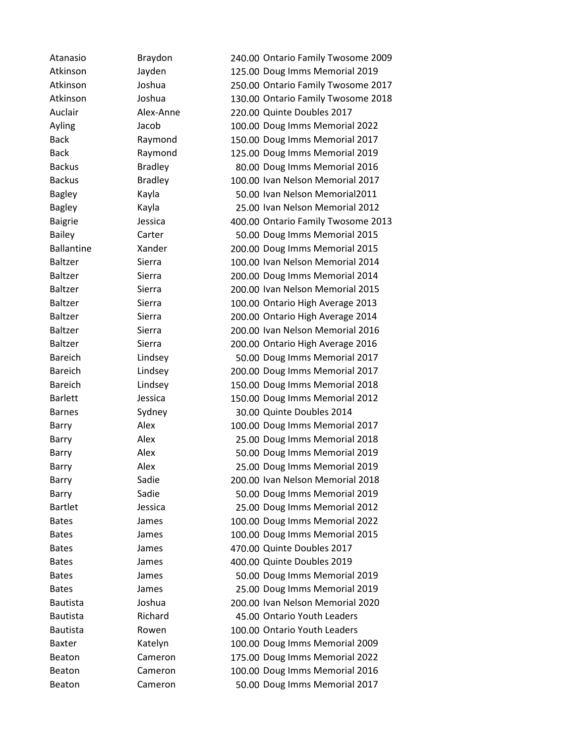| Atanasio          | Braydon        | 240.00 Ontario Family Twosome 2009 |
|-------------------|----------------|------------------------------------|
| Atkinson          | Jayden         | 125.00 Doug Imms Memorial 2019     |
| Atkinson          | Joshua         | 250.00 Ontario Family Twosome 2017 |
| Atkinson          | Joshua         | 130.00 Ontario Family Twosome 2018 |
| Auclair           | Alex-Anne      | 220.00 Quinte Doubles 2017         |
| Ayling            | Jacob          | 100.00 Doug Imms Memorial 2022     |
| <b>Back</b>       | Raymond        | 150.00 Doug Imms Memorial 2017     |
| <b>Back</b>       | Raymond        | 125.00 Doug Imms Memorial 2019     |
| <b>Backus</b>     | <b>Bradley</b> | 80.00 Doug Imms Memorial 2016      |
| <b>Backus</b>     | <b>Bradley</b> | 100.00 Ivan Nelson Memorial 2017   |
| <b>Bagley</b>     | Kayla          | 50.00 Ivan Nelson Memorial2011     |
| <b>Bagley</b>     | Kayla          | 25.00 Ivan Nelson Memorial 2012    |
| <b>Baigrie</b>    | Jessica        | 400.00 Ontario Family Twosome 2013 |
| <b>Bailey</b>     | Carter         | 50.00 Doug Imms Memorial 2015      |
| <b>Ballantine</b> | Xander         | 200.00 Doug Imms Memorial 2015     |
| <b>Baltzer</b>    | Sierra         | 100.00 Ivan Nelson Memorial 2014   |
| <b>Baltzer</b>    | Sierra         | 200.00 Doug Imms Memorial 2014     |
| <b>Baltzer</b>    | Sierra         | 200.00 Ivan Nelson Memorial 2015   |
| <b>Baltzer</b>    | Sierra         | 100.00 Ontario High Average 2013   |
| <b>Baltzer</b>    | Sierra         | 200.00 Ontario High Average 2014   |
| <b>Baltzer</b>    | Sierra         | 200.00 Ivan Nelson Memorial 2016   |
| <b>Baltzer</b>    | Sierra         | 200.00 Ontario High Average 2016   |
| <b>Bareich</b>    | Lindsey        | 50.00 Doug Imms Memorial 2017      |
| <b>Bareich</b>    | Lindsey        | 200.00 Doug Imms Memorial 2017     |
| <b>Bareich</b>    | Lindsey        | 150.00 Doug Imms Memorial 2018     |
| <b>Barlett</b>    | Jessica        | 150.00 Doug Imms Memorial 2012     |
| <b>Barnes</b>     | Sydney         | 30.00 Quinte Doubles 2014          |
| Barry             | Alex           | 100.00 Doug Imms Memorial 2017     |
| Barry             | Alex           | 25.00 Doug Imms Memorial 2018      |
| Barry             | Alex           | 50.00 Doug Imms Memorial 2019      |
| Barry             | Alex           | 25.00 Doug Imms Memorial 2019      |
| Barry             | Sadie          | 200.00 Ivan Nelson Memorial 2018   |
| Barry             | Sadie          | 50.00 Doug Imms Memorial 2019      |
| <b>Bartlet</b>    | Jessica        | 25.00 Doug Imms Memorial 2012      |
| <b>Bates</b>      | James          | 100.00 Doug Imms Memorial 2022     |
| <b>Bates</b>      | James          | 100.00 Doug Imms Memorial 2015     |
| <b>Bates</b>      | James          | 470.00 Quinte Doubles 2017         |
| <b>Bates</b>      | James          | 400.00 Quinte Doubles 2019         |
| <b>Bates</b>      | James          | 50.00 Doug Imms Memorial 2019      |
| <b>Bates</b>      | James          | 25.00 Doug Imms Memorial 2019      |
| <b>Bautista</b>   | Joshua         | 200.00 Ivan Nelson Memorial 2020   |
| <b>Bautista</b>   | Richard        | 45.00 Ontario Youth Leaders        |
| <b>Bautista</b>   | Rowen          | 100.00 Ontario Youth Leaders       |
| <b>Baxter</b>     | Katelyn        | 100.00 Doug Imms Memorial 2009     |
| Beaton            | Cameron        | 175.00 Doug Imms Memorial 2022     |
| <b>Beaton</b>     | Cameron        | 100.00 Doug Imms Memorial 2016     |
| Beaton            | Cameron        | 50.00 Doug Imms Memorial 2017      |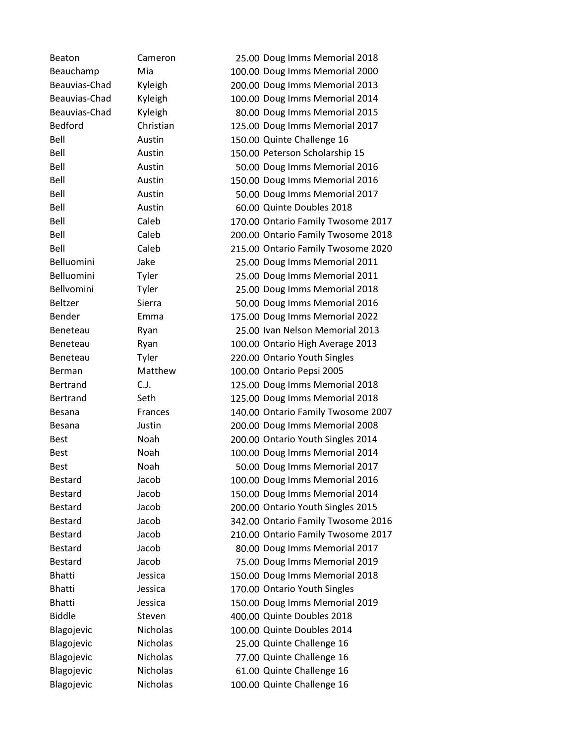| Beaton          | Cameron     | 25.00 Doug Imms Memorial 2018      |
|-----------------|-------------|------------------------------------|
| Beauchamp       | Mia         | 100.00 Doug Imms Memorial 2000     |
| Beauvias-Chad   | Kyleigh     | 200.00 Doug Imms Memorial 2013     |
| Beauvias-Chad   | Kyleigh     | 100.00 Doug Imms Memorial 2014     |
| Beauvias-Chad   | Kyleigh     | 80.00 Doug Imms Memorial 2015      |
| <b>Bedford</b>  | Christian   | 125.00 Doug Imms Memorial 2017     |
| Bell            | Austin      | 150.00 Quinte Challenge 16         |
| Bell            | Austin      | 150.00 Peterson Scholarship 15     |
| Bell            | Austin      | 50.00 Doug Imms Memorial 2016      |
| Bell            | Austin      | 150.00 Doug Imms Memorial 2016     |
| Bell            | Austin      | 50.00 Doug Imms Memorial 2017      |
| Bell            | Austin      | 60.00 Quinte Doubles 2018          |
| Bell            | Caleb       | 170.00 Ontario Family Twosome 2017 |
| Bell            | Caleb       | 200.00 Ontario Family Twosome 2018 |
| Bell            | Caleb       | 215.00 Ontario Family Twosome 2020 |
| Belluomini      | Jake        | 25.00 Doug Imms Memorial 2011      |
| Belluomini      | Tyler       | 25.00 Doug Imms Memorial 2011      |
| Bellvomini      | Tyler       | 25.00 Doug Imms Memorial 2018      |
| <b>Beltzer</b>  | Sierra      | 50.00 Doug Imms Memorial 2016      |
| Bender          | Emma        | 175.00 Doug Imms Memorial 2022     |
| Beneteau        | Ryan        | 25.00 Ivan Nelson Memorial 2013    |
| Beneteau        | Ryan        | 100.00 Ontario High Average 2013   |
| Beneteau        | Tyler       | 220.00 Ontario Youth Singles       |
| Berman          | Matthew     | 100.00 Ontario Pepsi 2005          |
| <b>Bertrand</b> | C.J.        | 125.00 Doug Imms Memorial 2018     |
| <b>Bertrand</b> | Seth        | 125.00 Doug Imms Memorial 2018     |
| Besana          | Frances     | 140.00 Ontario Family Twosome 2007 |
| <b>Besana</b>   | Justin      | 200.00 Doug Imms Memorial 2008     |
| <b>Best</b>     | <b>Noah</b> | 200.00 Ontario Youth Singles 2014  |
| <b>Best</b>     | Noah        | 100.00 Doug Imms Memorial 2014     |
| <b>Best</b>     | Noah        | 50.00 Doug Imms Memorial 2017      |
| <b>Bestard</b>  | Jacob       | 100.00 Doug Imms Memorial 2016     |
| <b>Bestard</b>  | Jacob       | 150.00 Doug Imms Memorial 2014     |
| <b>Bestard</b>  | Jacob       | 200.00 Ontario Youth Singles 2015  |
| <b>Bestard</b>  | Jacob       | 342.00 Ontario Family Twosome 2016 |
| <b>Bestard</b>  | Jacob       | 210.00 Ontario Family Twosome 2017 |
| <b>Bestard</b>  | Jacob       | 80.00 Doug Imms Memorial 2017      |
| <b>Bestard</b>  | Jacob       | 75.00 Doug Imms Memorial 2019      |
| <b>Bhatti</b>   | Jessica     | 150.00 Doug Imms Memorial 2018     |
| <b>Bhatti</b>   | Jessica     | 170.00 Ontario Youth Singles       |
| <b>Bhatti</b>   | Jessica     | 150.00 Doug Imms Memorial 2019     |
| <b>Biddle</b>   | Steven      | 400.00 Quinte Doubles 2018         |
| Blagojevic      | Nicholas    | 100.00 Quinte Doubles 2014         |
| Blagojevic      | Nicholas    | 25.00 Quinte Challenge 16          |
| Blagojevic      | Nicholas    | 77.00 Quinte Challenge 16          |
| Blagojevic      | Nicholas    | 61.00 Quinte Challenge 16          |
| Blagojevic      | Nicholas    | 100.00 Quinte Challenge 16         |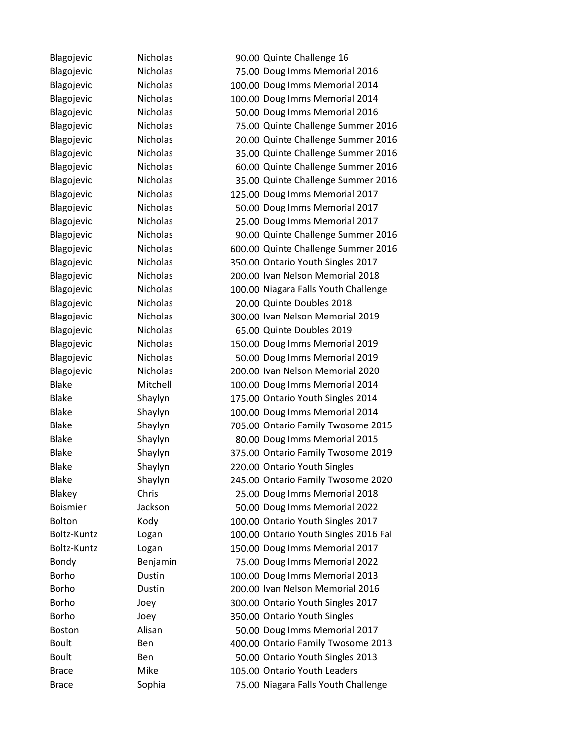Blagojevic Nicholas 90.00 Quinte Challenge 16 Blagojevic Nicholas 75.00 Doug Imms Memorial 2016 Blagojevic Nicholas 100.00 Doug Imms Memorial 2014 Blagojevic Nicholas 100.00 Doug Imms Memorial 2014 Blagojevic Nicholas 50.00 Doug Imms Memorial 2016 Blagojevic Nicholas 75.00 Quinte Challenge Summer 2016 Blagojevic Nicholas 20.00 Quinte Challenge Summer 2016 Blagojevic Nicholas 35.00 Quinte Challenge Summer 2016 Blagojevic Nicholas 60.00 Quinte Challenge Summer 2016 Blagojevic Nicholas 35.00 Quinte Challenge Summer 2016 Blagojevic Nicholas 125.00 Doug Imms Memorial 2017 Blagojevic Nicholas 50.00 Doug Imms Memorial 2017 Blagojevic Nicholas 25.00 Doug Imms Memorial 2017 Blagojevic Nicholas 90.00 Quinte Challenge Summer 2016 Blagojevic Nicholas 600.00 Quinte Challenge Summer 2016 Blagojevic Nicholas 350.00 Ontario Youth Singles 2017 Blagojevic Nicholas 200.00 Ivan Nelson Memorial 2018 Blagojevic Nicholas 100.00 Niagara Falls Youth Challenge Blagojevic Nicholas 20.00 Quinte Doubles 2018 Blagojevic Nicholas 300.00 Ivan Nelson Memorial 2019 Blagojevic Micholas 65.00 Quinte Doubles 2019 Blagojevic Nicholas 150.00 Doug Imms Memorial 2019 Blagojevic Nicholas 50.00 Doug Imms Memorial 2019 Blagojevic Nicholas 200.00 Ivan Nelson Memorial 2020 Blake Mitchell 100.00 Doug Imms Memorial 2014 Blake Shaylyn 175.00 Ontario Youth Singles 2014 Blake Shaylyn 100.00 Doug Imms Memorial 2014 Blake Shaylyn 705.00 Ontario Family Twosome 2015 Blake Shaylyn 80.00 Doug Imms Memorial 2015 Blake Shaylyn 375.00 Ontario Family Twosome 2019 Blake Shaylyn 220.00 Ontario Youth Singles Blake Shaylyn 245.00 Ontario Family Twosome 2020 Blakey Chris 25.00 Doug Imms Memorial 2018 Boismier Jackson 50.00 Doug Imms Memorial 2022 Bolton Kody 100.00 Ontario Youth Singles 2017 Boltz-Kuntz Logan 100.00 Ontario Youth Singles 2016 Fal Boltz-Kuntz Logan 150.00 Doug Imms Memorial 2017 Bondy Benjamin 75.00 Doug Imms Memorial 2022 Borho Dustin 100.00 Doug Imms Memorial 2013 Borho Dustin 200.00 Ivan Nelson Memorial 2016 Borho Joey 100 300.00 Ontario Youth Singles 2017 Borho Joey 350.00 Ontario Youth Singles Boston Alisan 50.00 Doug Imms Memorial 2017 Boult Ben Ben 400.00 Ontario Family Twosome 2013 Boult Ben 50.00 Ontario Youth Singles 2013 Brace Mike 105.00 Ontario Youth Leaders Brace Sophia 75.00 Niagara Falls Youth Challenge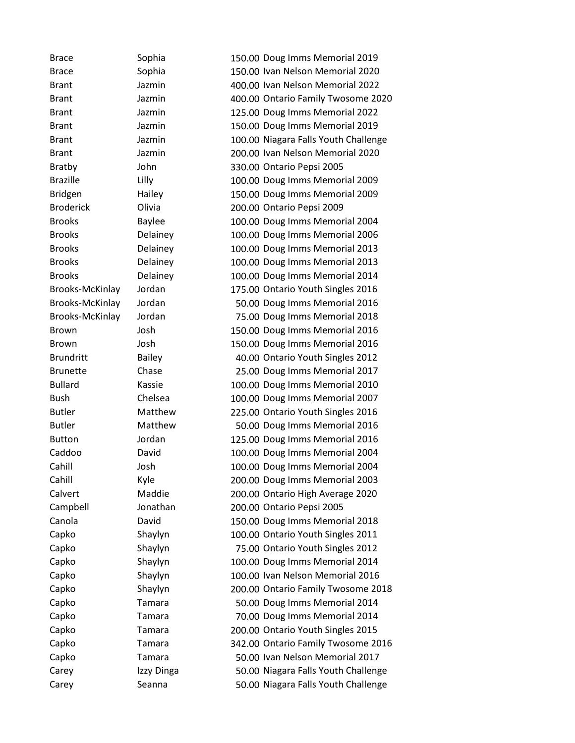Brace Sophia 150.00 Doug Imms Memorial 2019 Brace Sophia 150.00 Ivan Nelson Memorial 2020 Brant Jazmin 400.00 Ivan Nelson Memorial 2022 Brant Jazmin 400.00 Ontario Family Twosome 2020 Brant Jazmin 125.00 Doug Imms Memorial 2022 Brant Jazmin 150.00 Doug Imms Memorial 2019 Brant Jazmin 100.00 Niagara Falls Youth Challenge Brant Jazmin 200.00 Ivan Nelson Memorial 2020 Bratby John 330.00 Ontario Pepsi 2005 Brazille Lilly 100.00 Doug Imms Memorial 2009 Bridgen Hailey 150.00 Doug Imms Memorial 2009 Broderick Olivia 200.00 Ontario Pepsi 2009 Brooks Baylee 100.00 Doug Imms Memorial 2004 Brooks Delainey 100.00 Doug Imms Memorial 2006 Brooks Delainey 100.00 Doug Imms Memorial 2013 Brooks Delainey 100.00 Doug Imms Memorial 2013 Brooks Delainey 100.00 Doug Imms Memorial 2014 Brooks-McKinlay Jordan 175.00 Ontario Youth Singles 2016 Brooks-McKinlay Jordan 50.00 Doug Imms Memorial 2016 Brooks-McKinlay Jordan 75.00 Doug Imms Memorial 2018 Brown Josh 150.00 Doug Imms Memorial 2016 Brown Josh 150.00 Doug Imms Memorial 2016 Brundritt Bailey 40.00 Ontario Youth Singles 2012 Brunette Chase 25.00 Doug Imms Memorial 2017 Bullard Kassie 100.00 Doug Imms Memorial 2010 Bush Chelsea 100.00 Doug Imms Memorial 2007 Butler Matthew 225.00 Ontario Youth Singles 2016 Butler Matthew 50.00 Doug Imms Memorial 2016 Button Jordan 125.00 Doug Imms Memorial 2016 Caddoo David 100.00 Doug Imms Memorial 2004 Cahill Josh 100.00 Doug Imms Memorial 2004 Cahill Kyle 200.00 Doug Imms Memorial 2003 Calvert Maddie 200.00 Ontario High Average 2020 Campbell Jonathan 200.00 Ontario Pepsi 2005 Canola David 150.00 Doug Imms Memorial 2018 Capko Shaylyn 100.00 Ontario Youth Singles 2011 Capko Shaylyn 75.00 Ontario Youth Singles 2012 Capko Shaylyn 100.00 Doug Imms Memorial 2014 Capko Shaylyn 100.00 Ivan Nelson Memorial 2016 Capko Shaylyn 200.00 Ontario Family Twosome 2018 Capko Tamara 50.00 Doug Imms Memorial 2014 Capko Tamara 70.00 Doug Imms Memorial 2014 Capko Tamara 200.00 Ontario Youth Singles 2015 Capko Tamara 342.00 Ontario Family Twosome 2016 Capko Tamara 50.00 Ivan Nelson Memorial 2017 Carey **Izzy Dinga** 50.00 Niagara Falls Youth Challenge Carey Seanna 50.00 Niagara Falls Youth Challenge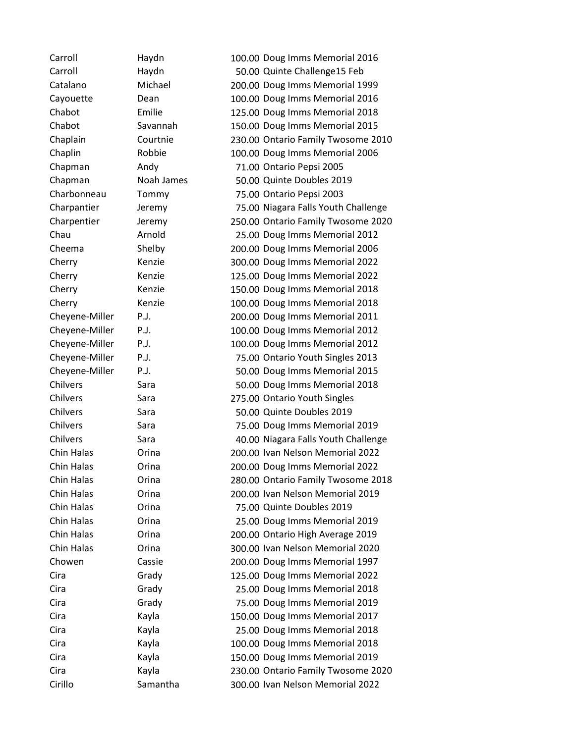Carroll Haydn 100.00 Doug Imms Memorial 2016 Carroll Haydn 50.00 Quinte Challenge15 Feb Catalano Michael 200.00 Doug Imms Memorial 1999 Cayouette Dean 100.00 Doug Imms Memorial 2016 Chabot Emilie 125.00 Doug Imms Memorial 2018 Chabot Savannah 150.00 Doug Imms Memorial 2015 Chaplain Courtnie 230.00 Ontario Family Twosome 2010 Chaplin Robbie 100.00 Doug Imms Memorial 2006 Chapman Andy 71.00 Ontario Pepsi 2005 Chapman Noah James 50.00 Quinte Doubles 2019 Charbonneau Tommy 75.00 Ontario Pepsi 2003 Charpantier Jeremy 75.00 Niagara Falls Youth Challenge Charpentier Jeremy 250.00 Ontario Family Twosome 2020 Chau Arnold 25.00 Doug Imms Memorial 2012 Cheema Shelby 200.00 Doug Imms Memorial 2006 Cherry Kenzie 300.00 Doug Imms Memorial 2022 Cherry Kenzie 125.00 Doug Imms Memorial 2022 Cherry Kenzie 150.00 Doug Imms Memorial 2018 Cherry Kenzie 100.00 Doug Imms Memorial 2018 Cheyene-Miller P.J. 200.00 Doug Imms Memorial 2011 Cheyene-Miller P.J. 100.00 Doug Imms Memorial 2012 Cheyene-Miller P.J. 100.00 Doug Imms Memorial 2012 Cheyene-Miller P.J. 75.00 Ontario Youth Singles 2013 Cheyene-Miller P.J. 50.00 Doug Imms Memorial 2015 Chilvers Sara 50.00 Doug Imms Memorial 2018 Chilvers Sara Sara 275.00 Ontario Youth Singles Chilvers Sara 50.00 Quinte Doubles 2019 Chilvers Sara 75.00 Doug Imms Memorial 2019 Chilvers Sara 40.00 Niagara Falls Youth Challenge Chin Halas Orina 200.00 Ivan Nelson Memorial 2022 Chin Halas Orina 200.00 Doug Imms Memorial 2022 Chin Halas Orina 280.00 Ontario Family Twosome 2018 Chin Halas Orina 200.00 Ivan Nelson Memorial 2019 Chin Halas Orina 75.00 Quinte Doubles 2019 Chin Halas Orina 25.00 Doug Imms Memorial 2019 Chin Halas Orina 200.00 Ontario High Average 2019 Chin Halas Orina 300.00 Ivan Nelson Memorial 2020 Chowen Cassie 200.00 Doug Imms Memorial 1997 Cira Grady 125.00 Doug Imms Memorial 2022 Cira Grady 25.00 Doug Imms Memorial 2018 Cira Grady 75.00 Doug Imms Memorial 2019 Cira Kayla 150.00 Doug Imms Memorial 2017 Cira Kayla 25.00 Doug Imms Memorial 2018 Cira Kayla 100.00 Doug Imms Memorial 2018 Cira Kayla 150.00 Doug Imms Memorial 2019 Cira Kayla 230.00 Ontario Family Twosome 2020 Cirillo Samantha 300.00 Ivan Nelson Memorial 2022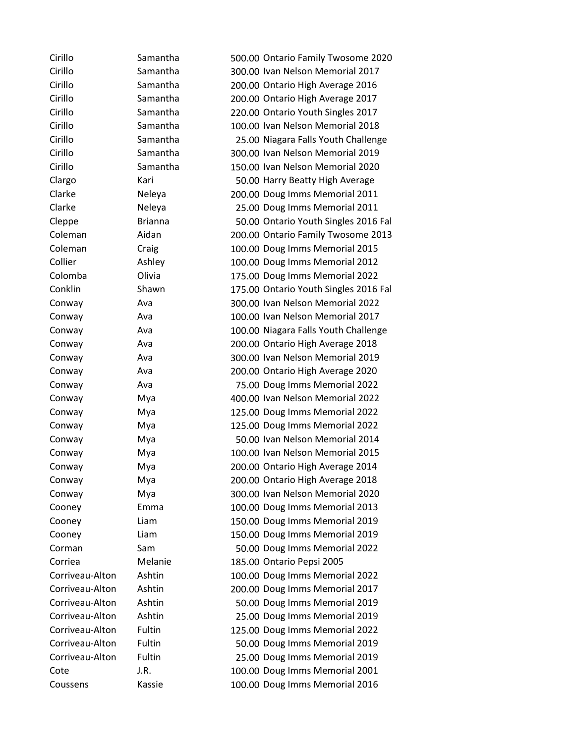| Cirillo         | Samantha       | 500.00 Ontario Family Twosome 2020    |
|-----------------|----------------|---------------------------------------|
| Cirillo         | Samantha       | 300.00 Ivan Nelson Memorial 2017      |
| Cirillo         | Samantha       | 200.00 Ontario High Average 2016      |
| Cirillo         | Samantha       | 200.00 Ontario High Average 2017      |
| Cirillo         | Samantha       | 220.00 Ontario Youth Singles 2017     |
| Cirillo         | Samantha       | 100.00 Ivan Nelson Memorial 2018      |
| Cirillo         | Samantha       | 25.00 Niagara Falls Youth Challenge   |
| Cirillo         | Samantha       | 300.00 Ivan Nelson Memorial 2019      |
| Cirillo         | Samantha       | 150.00 Ivan Nelson Memorial 2020      |
| Clargo          | Kari           | 50.00 Harry Beatty High Average       |
| Clarke          | Neleya         | 200.00 Doug Imms Memorial 2011        |
| Clarke          | Neleya         | 25.00 Doug Imms Memorial 2011         |
| Cleppe          | <b>Brianna</b> | 50.00 Ontario Youth Singles 2016 Fal  |
| Coleman         | Aidan          | 200.00 Ontario Family Twosome 2013    |
| Coleman         | Craig          | 100.00 Doug Imms Memorial 2015        |
| Collier         | Ashley         | 100.00 Doug Imms Memorial 2012        |
| Colomba         | Olivia         | 175.00 Doug Imms Memorial 2022        |
| Conklin         | Shawn          | 175.00 Ontario Youth Singles 2016 Fal |
| Conway          | Ava            | 300.00 Ivan Nelson Memorial 2022      |
| Conway          | Ava            | 100.00 Ivan Nelson Memorial 2017      |
| Conway          | Ava            | 100.00 Niagara Falls Youth Challenge  |
| Conway          | Ava            | 200.00 Ontario High Average 2018      |
| Conway          | Ava            | 300.00 Ivan Nelson Memorial 2019      |
| Conway          | Ava            | 200.00 Ontario High Average 2020      |
| Conway          | Ava            | 75.00 Doug Imms Memorial 2022         |
| Conway          | Mya            | 400.00 Ivan Nelson Memorial 2022      |
| Conway          | Mya            | 125.00 Doug Imms Memorial 2022        |
| Conway          | Mya            | 125.00 Doug Imms Memorial 2022        |
| Conway          | Mya            | 50.00 Ivan Nelson Memorial 2014       |
| Conway          | Mya            | 100.00 Ivan Nelson Memorial 2015      |
| Conway          | Mya            | 200.00 Ontario High Average 2014      |
| Conway          | Mya            | 200.00 Ontario High Average 2018      |
| Conway          | Mya            | 300.00 Ivan Nelson Memorial 2020      |
| Cooney          | Emma           | 100.00 Doug Imms Memorial 2013        |
| Cooney          | Liam           | 150.00 Doug Imms Memorial 2019        |
| Cooney          | Liam           | 150.00 Doug Imms Memorial 2019        |
| Corman          | Sam            | 50.00 Doug Imms Memorial 2022         |
| Corriea         | Melanie        | 185.00 Ontario Pepsi 2005             |
| Corriveau-Alton | Ashtin         | 100.00 Doug Imms Memorial 2022        |
| Corriveau-Alton | Ashtin         | 200.00 Doug Imms Memorial 2017        |
| Corriveau-Alton | Ashtin         | 50.00 Doug Imms Memorial 2019         |
| Corriveau-Alton | Ashtin         | 25.00 Doug Imms Memorial 2019         |
| Corriveau-Alton | Fultin         | 125.00 Doug Imms Memorial 2022        |
| Corriveau-Alton | Fultin         | 50.00 Doug Imms Memorial 2019         |
| Corriveau-Alton | Fultin         | 25.00 Doug Imms Memorial 2019         |
| Cote            | J.R.           | 100.00 Doug Imms Memorial 2001        |
| Coussens        | Kassie         | 100.00 Doug Imms Memorial 2016        |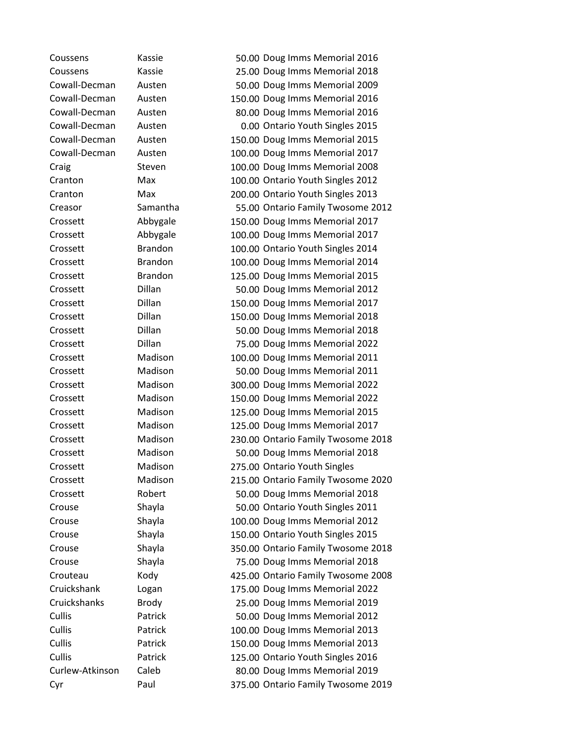Coussens Kassie 50.00 Doug Imms Memorial 2016 Coussens Kassie 25.00 Doug Imms Memorial 2018 Cowall-Decman Austen 50.00 Doug Imms Memorial 2009 Cowall-Decman Austen 150.00 Doug Imms Memorial 2016 Cowall-Decman Austen 80.00 Doug Imms Memorial 2016 Cowall-Decman Austen 0.00 Ontario Youth Singles 2015 Cowall-Decman Austen 150.00 Doug Imms Memorial 2015 Cowall-Decman Austen 100.00 Doug Imms Memorial 2017 Craig Steven 100.00 Doug Imms Memorial 2008 Cranton Max 100.00 Ontario Youth Singles 2012 Cranton Max 200.00 Ontario Youth Singles 2013 Creasor Samantha 55.00 Ontario Family Twosome 2012 Crossett Abbygale 150.00 Doug Imms Memorial 2017 Crossett Abbygale 100.00 Doug Imms Memorial 2017 Crossett Brandon 100.00 Ontario Youth Singles 2014 Crossett Brandon 100.00 Doug Imms Memorial 2014 Crossett Brandon 125.00 Doug Imms Memorial 2015 Crossett Dillan 50.00 Doug Imms Memorial 2012 Crossett Dillan 150.00 Doug Imms Memorial 2017 Crossett Dillan 150.00 Doug Imms Memorial 2018 Crossett Dillan 50.00 Doug Imms Memorial 2018 Crossett Dillan 75.00 Doug Imms Memorial 2022 Crossett Madison 100.00 Doug Imms Memorial 2011 Crossett Madison 50.00 Doug Imms Memorial 2011 Crossett Madison 300.00 Doug Imms Memorial 2022 Crossett Madison 150.00 Doug Imms Memorial 2022 Crossett Madison 125.00 Doug Imms Memorial 2015 Crossett Madison 125.00 Doug Imms Memorial 2017 Crossett Madison 230.00 Ontario Family Twosome 2018 Crossett Madison 50.00 Doug Imms Memorial 2018 Crossett Madison 275.00 Ontario Youth Singles Crossett Madison 215.00 Ontario Family Twosome 2020 Crossett Robert 50.00 Doug Imms Memorial 2018 Crouse Shayla 50.00 Ontario Youth Singles 2011 Crouse Shayla 100.00 Doug Imms Memorial 2012 Crouse Shayla 150.00 Ontario Youth Singles 2015 Crouse Shayla 350.00 Ontario Family Twosome 2018 Crouse Shayla 75.00 Doug Imms Memorial 2018 Crouteau Kody 425.00 Ontario Family Twosome 2008 Cruickshank Logan 175.00 Doug Imms Memorial 2022 Cruickshanks Brody 25.00 Doug Imms Memorial 2019 Cullis Patrick 50.00 Doug Imms Memorial 2012 Cullis Patrick 100.00 Doug Imms Memorial 2013 Cullis Patrick 150.00 Doug Imms Memorial 2013 Cullis Patrick 125.00 Ontario Youth Singles 2016 Curlew-Atkinson Caleb 80.00 Doug Imms Memorial 2019 Cyr Paul 375.00 Ontario Family Twosome 2019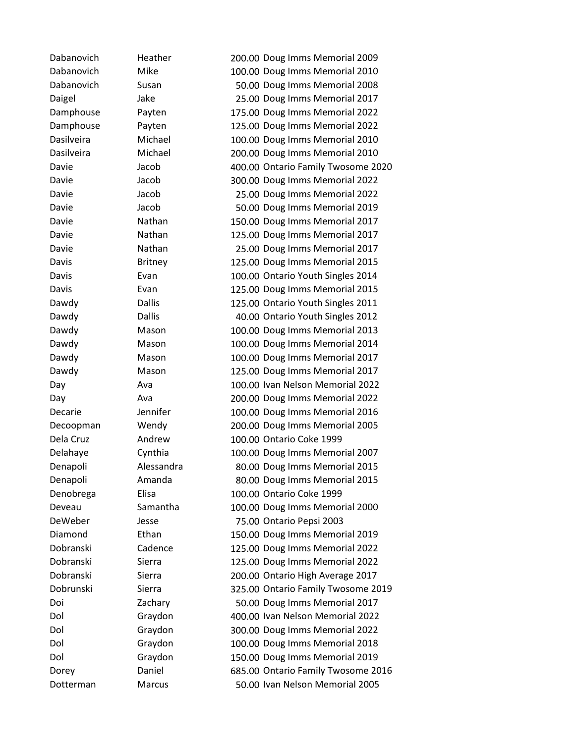Dabanovich Heather 200.00 Doug Imms Memorial 2009 Dabanovich Mike 100.00 Doug Imms Memorial 2010 Dabanovich Susan 50.00 Doug Imms Memorial 2008 Daigel Jake 25.00 Doug Imms Memorial 2017 Damphouse Payten 175.00 Doug Imms Memorial 2022 Damphouse Payten 125.00 Doug Imms Memorial 2022 Dasilveira Michael 100.00 Doug Imms Memorial 2010 Dasilveira Michael 200.00 Doug Imms Memorial 2010 Davie Jacob 400.00 Ontario Family Twosome 2020 Davie Jacob 300.00 Doug Imms Memorial 2022 Davie Jacob 25.00 Doug Imms Memorial 2022 Davie **Jacob** 1200 **50.00 Doug Imms Memorial 2019** Davie Nathan 150.00 Doug Imms Memorial 2017 Davie Nathan 125.00 Doug Imms Memorial 2017 Davie **Nathan** 25.00 Doug Imms Memorial 2017 Davis Britney 125.00 Doug Imms Memorial 2015 Davis Evan Evan 100.00 Ontario Youth Singles 2014 Davis Evan 125.00 Doug Imms Memorial 2015 Dawdy Dallis 125.00 Ontario Youth Singles 2011 Dawdy Dallis 40.00 Ontario Youth Singles 2012 Dawdy Mason 100.00 Doug Imms Memorial 2013 Dawdy Mason 100.00 Doug Imms Memorial 2014 Dawdy Mason 100.00 Doug Imms Memorial 2017 Dawdy Mason 125.00 Doug Imms Memorial 2017 Day Ava 100.00 Ivan Nelson Memorial 2022 Day Ava 200.00 Doug Imms Memorial 2022 Decarie Jennifer 100.00 Doug Imms Memorial 2016 Decoopman Wendy 200.00 Doug Imms Memorial 2005 Dela Cruz Andrew 100.00 Ontario Coke 1999 Delahaye Cynthia 100.00 Doug Imms Memorial 2007 Denapoli Alessandra 80.00 Doug Imms Memorial 2015 Denapoli Amanda 80.00 Doug Imms Memorial 2015 Denobrega Elisa 100.00 Ontario Coke 1999 Deveau Samantha 100.00 Doug Imms Memorial 2000 DeWeber Jesse 75.00 Ontario Pepsi 2003 Diamond Ethan 150.00 Doug Imms Memorial 2019 Dobranski Cadence 125.00 Doug Imms Memorial 2022 Dobranski Sierra 125.00 Doug Imms Memorial 2022 Dobranski Sierra 200.00 Ontario High Average 2017 Dobrunski Sierra 325.00 Ontario Family Twosome 2019 Doi Zachary 50.00 Doug Imms Memorial 2017 Dol Graydon 400.00 Ivan Nelson Memorial 2022 Dol Graydon 300.00 Doug Imms Memorial 2022 Dol Graydon 100.00 Doug Imms Memorial 2018 Dol Graydon 150.00 Doug Imms Memorial 2019 Dorey Daniel 685.00 Ontario Family Twosome 2016 Dotterman Marcus 50.00 Ivan Nelson Memorial 2005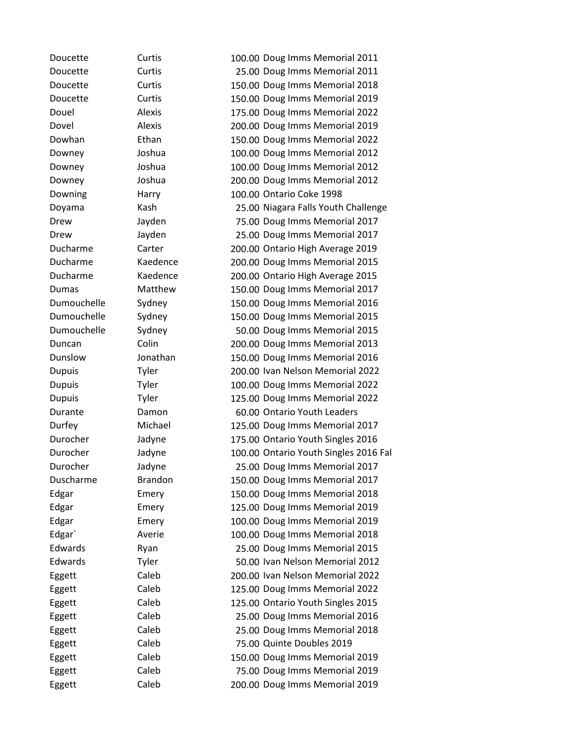Doucette Curtis 100.00 Doug Imms Memorial 2011 Doucette Curtis 25.00 Doug Imms Memorial 2011 Doucette Curtis 150.00 Doug Imms Memorial 2018 Doucette Curtis 150.00 Doug Imms Memorial 2019 Douel Alexis 175.00 Doug Imms Memorial 2022 Dovel Alexis 200.00 Doug Imms Memorial 2019 Dowhan Ethan 150.00 Doug Imms Memorial 2022 Downey Joshua 100.00 Doug Imms Memorial 2012 Downey Joshua 100.00 Doug Imms Memorial 2012 Downey Joshua 200.00 Doug Imms Memorial 2012 Downing Harry 100.00 Ontario Coke 1998 Doyama Kash 25.00 Niagara Falls Youth Challenge Drew Jayden 75.00 Doug Imms Memorial 2017 Drew Jayden 25.00 Doug Imms Memorial 2017 Ducharme Carter 200.00 Ontario High Average 2019 Ducharme Kaedence 200.00 Doug Imms Memorial 2015 Ducharme Kaedence 200.00 Ontario High Average 2015 Dumas Matthew 150.00 Doug Imms Memorial 2017 Dumouchelle Sydney 150.00 Doug Imms Memorial 2016 Dumouchelle Sydney 150.00 Doug Imms Memorial 2015 Dumouchelle Sydney 50.00 Doug Imms Memorial 2015 Duncan Colin 200.00 Doug Imms Memorial 2013 Dunslow Jonathan 150.00 Doug Imms Memorial 2016 Dupuis Tyler 200.00 Ivan Nelson Memorial 2022 Dupuis Tyler 100.00 Doug Imms Memorial 2022 Dupuis Tyler 125.00 Doug Imms Memorial 2022 Durante Damon 60.00 Ontario Youth Leaders Durfey Michael 125.00 Doug Imms Memorial 2017 Durocher Jadyne 175.00 Ontario Youth Singles 2016 Durocher Jadyne 100.00 Ontario Youth Singles 2016 Fal Durocher Jadyne 25.00 Doug Imms Memorial 2017 Duscharme Brandon 150.00 Doug Imms Memorial 2017 Edgar Emery 150.00 Doug Imms Memorial 2018 Edgar Emery 125.00 Doug Imms Memorial 2019 Edgar Emery 100.00 Doug Imms Memorial 2019 Edgar` Averie 100.00 Doug Imms Memorial 2018 Edwards Ryan Ryan 25.00 Doug Imms Memorial 2015 Edwards Tyler 50.00 Ivan Nelson Memorial 2012 Eggett Caleb 200.00 Ivan Nelson Memorial 2022 Eggett Caleb 125.00 Doug Imms Memorial 2022 Eggett Caleb 125.00 Ontario Youth Singles 2015 Eggett Caleb 25.00 Doug Imms Memorial 2016 Eggett Caleb 25.00 Doug Imms Memorial 2018 Eggett Caleb 75.00 Quinte Doubles 2019 Eggett Caleb 150.00 Doug Imms Memorial 2019 Eggett Caleb 75.00 Doug Imms Memorial 2019 Eggett Caleb 200.00 Doug Imms Memorial 2019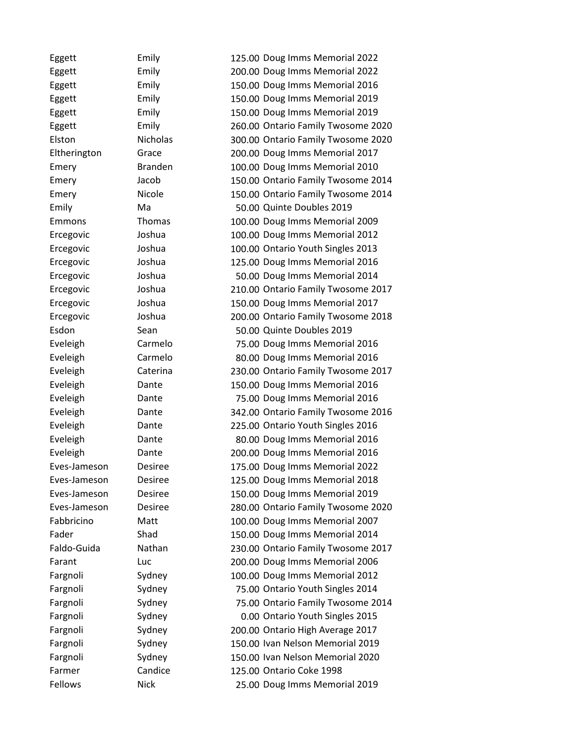Eggett Emily 125.00 Doug Imms Memorial 2022 Eggett Emily 200.00 Doug Imms Memorial 2022 Eggett Emily 150.00 Doug Imms Memorial 2016 Eggett Emily 150.00 Doug Imms Memorial 2019 Eggett Emily 150.00 Doug Imms Memorial 2019 Eggett Emily 260.00 Ontario Family Twosome 2020 Elston Nicholas 300.00 Ontario Family Twosome 2020 Eltherington Grace 200.00 Doug Imms Memorial 2017 Emery Branden 100.00 Doug Imms Memorial 2010 Emery Jacob 150.00 Ontario Family Twosome 2014 Emery Nicole 150.00 Ontario Family Twosome 2014 Emily Ma 50.00 Quinte Doubles 2019 Emmons Thomas 100.00 Doug Imms Memorial 2009 Ercegovic Joshua 100.00 Doug Imms Memorial 2012 Ercegovic Joshua 100.00 Ontario Youth Singles 2013 Ercegovic Joshua 125.00 Doug Imms Memorial 2016 Ercegovic Joshua 50.00 Doug Imms Memorial 2014 Ercegovic Joshua 210.00 Ontario Family Twosome 2017 Ercegovic Joshua 150.00 Doug Imms Memorial 2017 Ercegovic Joshua 200.00 Ontario Family Twosome 2018 Esdon Sean 50.00 Quinte Doubles 2019 Eveleigh Carmelo 75.00 Doug Imms Memorial 2016 Eveleigh Carmelo 80.00 Doug Imms Memorial 2016 Eveleigh Caterina 230.00 Ontario Family Twosome 2017 Eveleigh Dante 150.00 Doug Imms Memorial 2016 Eveleigh Dante 75.00 Doug Imms Memorial 2016 Eveleigh Dante 342.00 Ontario Family Twosome 2016 Eveleigh Dante 225.00 Ontario Youth Singles 2016 Eveleigh Dante 80.00 Doug Imms Memorial 2016 Eveleigh Dante 200.00 Doug Imms Memorial 2016 Eves-Jameson Desiree 175.00 Doug Imms Memorial 2022 Eves-Jameson Desiree 125.00 Doug Imms Memorial 2018 Eves-Jameson Desiree 150.00 Doug Imms Memorial 2019 Eves-Jameson Desiree 280.00 Ontario Family Twosome 2020 Fabbricino Matt 100.00 Doug Imms Memorial 2007 Fader Shad 5. Shad 150.00 Doug Imms Memorial 2014 Faldo-Guida Nathan 230.00 Ontario Family Twosome 2017 Farant Luc Luc 200.00 Doug Imms Memorial 2006 Fargnoli Sydney 100.00 Doug Imms Memorial 2012 Fargnoli Sydney 75.00 Ontario Youth Singles 2014 Fargnoli Sydney 75.00 Ontario Family Twosome 2014 Fargnoli Sydney 0.00 Ontario Youth Singles 2015 Fargnoli Sydney 200.00 Ontario High Average 2017 Fargnoli Sydney 150.00 Ivan Nelson Memorial 2019 Fargnoli Sydney 150.00 Ivan Nelson Memorial 2020 Farmer Candice 125.00 Ontario Coke 1998 Fellows Nick 25.00 Doug Imms Memorial 2019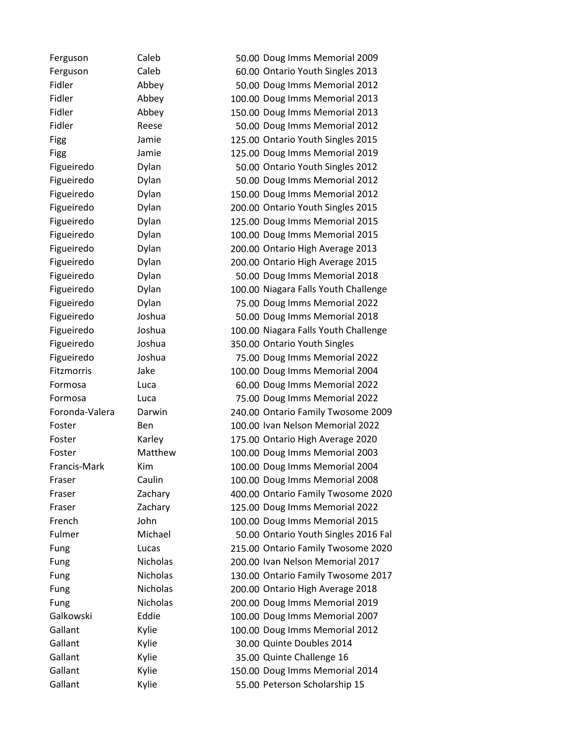| Ferguson       | Caleb           | 50.00 Doug Imms Memorial 2009        |
|----------------|-----------------|--------------------------------------|
| Ferguson       | Caleb           | 60.00 Ontario Youth Singles 2013     |
| Fidler         | Abbey           | 50.00 Doug Imms Memorial 2012        |
| Fidler         | Abbey           | 100.00 Doug Imms Memorial 2013       |
| Fidler         | Abbey           | 150.00 Doug Imms Memorial 2013       |
| Fidler         | Reese           | 50.00 Doug Imms Memorial 2012        |
| Figg           | Jamie           | 125.00 Ontario Youth Singles 2015    |
| Figg           | Jamie           | 125.00 Doug Imms Memorial 2019       |
| Figueiredo     | Dylan           | 50.00 Ontario Youth Singles 2012     |
| Figueiredo     | Dylan           | 50.00 Doug Imms Memorial 2012        |
| Figueiredo     | Dylan           | 150.00 Doug Imms Memorial 2012       |
| Figueiredo     | Dylan           | 200.00 Ontario Youth Singles 2015    |
| Figueiredo     | Dylan           | 125.00 Doug Imms Memorial 2015       |
| Figueiredo     | Dylan           | 100.00 Doug Imms Memorial 2015       |
| Figueiredo     | Dylan           | 200.00 Ontario High Average 2013     |
| Figueiredo     | Dylan           | 200.00 Ontario High Average 2015     |
| Figueiredo     | Dylan           | 50.00 Doug Imms Memorial 2018        |
| Figueiredo     | Dylan           | 100.00 Niagara Falls Youth Challenge |
| Figueiredo     | Dylan           | 75.00 Doug Imms Memorial 2022        |
| Figueiredo     | Joshua          | 50.00 Doug Imms Memorial 2018        |
| Figueiredo     | Joshua          | 100.00 Niagara Falls Youth Challenge |
| Figueiredo     | Joshua          | 350.00 Ontario Youth Singles         |
| Figueiredo     | Joshua          | 75.00 Doug Imms Memorial 2022        |
| Fitzmorris     | Jake            | 100.00 Doug Imms Memorial 2004       |
| Formosa        | Luca            | 60.00 Doug Imms Memorial 2022        |
| Formosa        | Luca            | 75.00 Doug Imms Memorial 2022        |
| Foronda-Valera | Darwin          | 240.00 Ontario Family Twosome 2009   |
| Foster         | Ben             | 100.00 Ivan Nelson Memorial 2022     |
| Foster         | Karley          | 175.00 Ontario High Average 2020     |
| Foster         | Matthew         | 100.00 Doug Imms Memorial 2003       |
| Francis-Mark   | Kim             | 100.00 Doug Imms Memorial 2004       |
| Fraser         | Caulin          | 100.00 Doug Imms Memorial 2008       |
| Fraser         | Zachary         | 400.00 Ontario Family Twosome 2020   |
| Fraser         | Zachary         | 125.00 Doug Imms Memorial 2022       |
| French         | John            | 100.00 Doug Imms Memorial 2015       |
| Fulmer         | Michael         | 50.00 Ontario Youth Singles 2016 Fal |
| Fung           | Lucas           | 215.00 Ontario Family Twosome 2020   |
| Fung           | Nicholas        | 200.00 Ivan Nelson Memorial 2017     |
| Fung           | Nicholas        | 130.00 Ontario Family Twosome 2017   |
| Fung           | <b>Nicholas</b> | 200.00 Ontario High Average 2018     |
| Fung           | Nicholas        | 200.00 Doug Imms Memorial 2019       |
| Galkowski      | Eddie           | 100.00 Doug Imms Memorial 2007       |
| Gallant        | Kylie           | 100.00 Doug Imms Memorial 2012       |
| Gallant        | Kylie           | 30.00 Quinte Doubles 2014            |
| Gallant        | Kylie           | 35.00 Quinte Challenge 16            |
| Gallant        | Kylie           | 150.00 Doug Imms Memorial 2014       |
| Gallant        | Kylie           | 55.00 Peterson Scholarship 15        |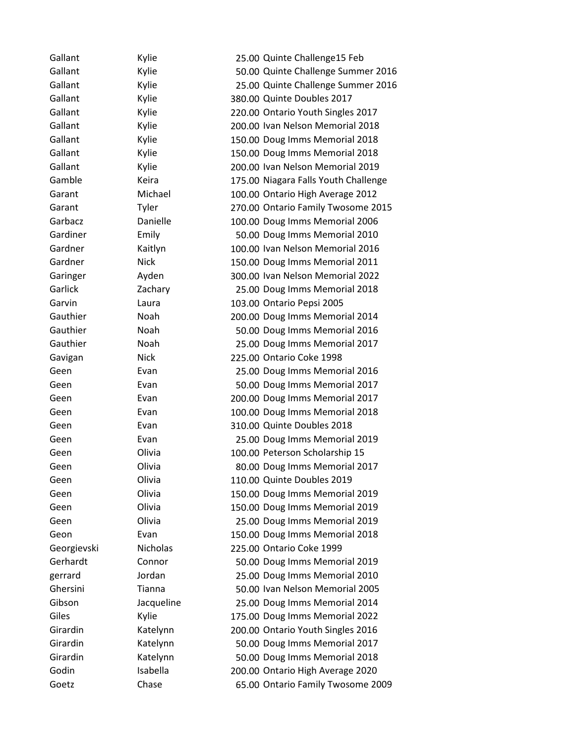| Gallant     | Kylie       | 25.00 Quinte Challenge15 Feb         |
|-------------|-------------|--------------------------------------|
| Gallant     | Kylie       | 50.00 Quinte Challenge Summer 2016   |
| Gallant     | Kylie       | 25.00 Quinte Challenge Summer 2016   |
| Gallant     | Kylie       | 380.00 Quinte Doubles 2017           |
| Gallant     | Kylie       | 220.00 Ontario Youth Singles 2017    |
| Gallant     | Kylie       | 200.00 Ivan Nelson Memorial 2018     |
| Gallant     | Kylie       | 150.00 Doug Imms Memorial 2018       |
| Gallant     | Kylie       | 150.00 Doug Imms Memorial 2018       |
| Gallant     | Kylie       | 200.00 Ivan Nelson Memorial 2019     |
| Gamble      | Keira       | 175.00 Niagara Falls Youth Challenge |
| Garant      | Michael     | 100.00 Ontario High Average 2012     |
| Garant      | Tyler       | 270.00 Ontario Family Twosome 2015   |
| Garbacz     | Danielle    | 100.00 Doug Imms Memorial 2006       |
| Gardiner    | Emily       | 50.00 Doug Imms Memorial 2010        |
| Gardner     | Kaitlyn     | 100.00 Ivan Nelson Memorial 2016     |
| Gardner     | <b>Nick</b> | 150.00 Doug Imms Memorial 2011       |
| Garinger    | Ayden       | 300.00 Ivan Nelson Memorial 2022     |
| Garlick     | Zachary     | 25.00 Doug Imms Memorial 2018        |
| Garvin      | Laura       | 103.00 Ontario Pepsi 2005            |
| Gauthier    | Noah        | 200.00 Doug Imms Memorial 2014       |
| Gauthier    | Noah        | 50.00 Doug Imms Memorial 2016        |
| Gauthier    | Noah        | 25.00 Doug Imms Memorial 2017        |
| Gavigan     | <b>Nick</b> | 225.00 Ontario Coke 1998             |
| Geen        | Evan        | 25.00 Doug Imms Memorial 2016        |
| Geen        | Evan        | 50.00 Doug Imms Memorial 2017        |
| Geen        | Evan        | 200.00 Doug Imms Memorial 2017       |
| Geen        | Evan        | 100.00 Doug Imms Memorial 2018       |
| Geen        | Evan        | 310.00 Quinte Doubles 2018           |
| Geen        | Evan        | 25.00 Doug Imms Memorial 2019        |
| Geen        | Olivia      | 100.00 Peterson Scholarship 15       |
| Geen        | Olivia      | 80.00 Doug Imms Memorial 2017        |
| Geen        | Olivia      | 110.00 Quinte Doubles 2019           |
| Geen        | Olivia      | 150.00 Doug Imms Memorial 2019       |
| Geen        | Olivia      | 150.00 Doug Imms Memorial 2019       |
| Geen        | Olivia      | 25.00 Doug Imms Memorial 2019        |
| Geon        | Evan        | 150.00 Doug Imms Memorial 2018       |
| Georgievski | Nicholas    | 225.00 Ontario Coke 1999             |
| Gerhardt    | Connor      | 50.00 Doug Imms Memorial 2019        |
| gerrard     | Jordan      | 25.00 Doug Imms Memorial 2010        |
| Ghersini    | Tianna      | 50.00 Ivan Nelson Memorial 2005      |
| Gibson      | Jacqueline  | 25.00 Doug Imms Memorial 2014        |
| Giles       | Kylie       | 175.00 Doug Imms Memorial 2022       |
| Girardin    | Katelynn    | 200.00 Ontario Youth Singles 2016    |
| Girardin    | Katelynn    | 50.00 Doug Imms Memorial 2017        |
| Girardin    | Katelynn    | 50.00 Doug Imms Memorial 2018        |
| Godin       | Isabella    | 200.00 Ontario High Average 2020     |
| Goetz       | Chase       | 65.00 Ontario Family Twosome 2009    |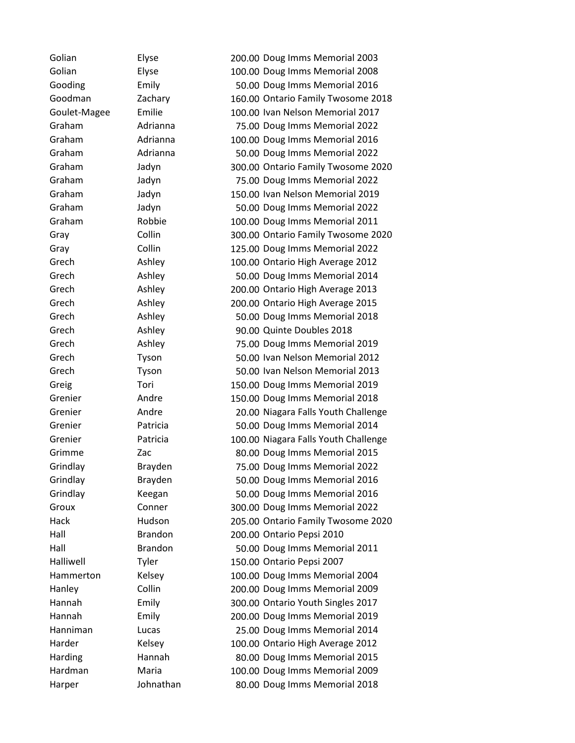Golian Elyse 200.00 Doug Imms Memorial 2003 Golian Elyse 100.00 Doug Imms Memorial 2008 Gooding Emily 50.00 Doug Imms Memorial 2016 Goodman Zachary 160.00 Ontario Family Twosome 2018 Goulet-Magee Emilie 100.00 Ivan Nelson Memorial 2017 Graham Adrianna 75.00 Doug Imms Memorial 2022 Graham Adrianna 100.00 Doug Imms Memorial 2016 Graham Adrianna 50.00 Doug Imms Memorial 2022 Graham Jadyn 300.00 Ontario Family Twosome 2020 Graham Jadyn 75.00 Doug Imms Memorial 2022 Graham Jadyn 150.00 Ivan Nelson Memorial 2019 Graham Jadyn 50.00 Doug Imms Memorial 2022 Graham Robbie 100.00 Doug Imms Memorial 2011 Gray Collin 300.00 Ontario Family Twosome 2020 Gray Collin 125.00 Doug Imms Memorial 2022 Grech Ashley 100.00 Ontario High Average 2012 Grech Ashley 50.00 Doug Imms Memorial 2014 Grech Ashley 200.00 Ontario High Average 2013 Grech Ashley 200.00 Ontario High Average 2015 Grech Ashley 50.00 Doug Imms Memorial 2018 Grech Ashley 90.00 Quinte Doubles 2018 Grech Ashley 75.00 Doug Imms Memorial 2019 Grech Tyson 50.00 Ivan Nelson Memorial 2012 Grech Tyson 50.00 Ivan Nelson Memorial 2013 Greig Tori 150.00 Doug Imms Memorial 2019 Grenier Andre 150.00 Doug Imms Memorial 2018 Grenier **Andre** 20.00 Niagara Falls Youth Challenge Grenier Patricia 50.00 Doug Imms Memorial 2014 Grenier **Patricia** 100.00 Niagara Falls Youth Challenge Grimme Zac 80.00 Doug Imms Memorial 2015 Grindlay Brayden 75.00 Doug Imms Memorial 2022 Grindlay Brayden 50.00 Doug Imms Memorial 2016 Grindlay Keegan 50.00 Doug Imms Memorial 2016 Groux Conner 300.00 Doug Imms Memorial 2022 Hack Hudson 205.00 Ontario Family Twosome 2020 Hall Brandon 200.00 Ontario Pepsi 2010 Hall Brandon 50.00 Doug Imms Memorial 2011 Halliwell Tyler 150.00 Ontario Pepsi 2007 Hammerton Kelsey 100.00 Doug Imms Memorial 2004 Hanley Collin 200.00 Doug Imms Memorial 2009 Hannah Emily 300.00 Ontario Youth Singles 2017 Hannah Emily 200.00 Doug Imms Memorial 2019 Hanniman Lucas 25.00 Doug Imms Memorial 2014 Harder Kelsey 100.00 Ontario High Average 2012 Harding Hannah 80.00 Doug Imms Memorial 2015 Hardman Maria 100.00 Doug Imms Memorial 2009 Harper Johnathan 80.00 Doug Imms Memorial 2018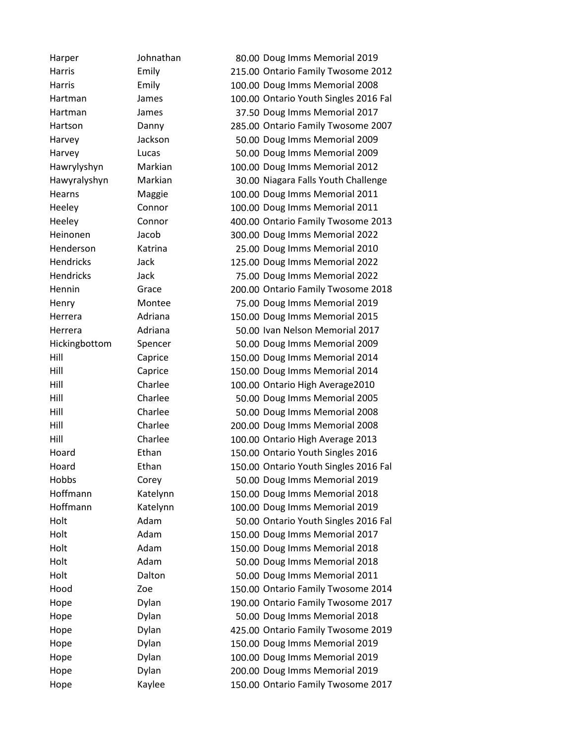Harper Johnathan 80.00 Doug Imms Memorial 2019 Harris Emily 215.00 Ontario Family Twosome 2012 Harris Emily 100.00 Doug Imms Memorial 2008 Hartman James 100.00 Ontario Youth Singles 2016 Fal Hartman James 37.50 Doug Imms Memorial 2017 Hartson Danny 285.00 Ontario Family Twosome 2007 Harvey Jackson 50.00 Doug Imms Memorial 2009 Harvey Lucas 50.00 Doug Imms Memorial 2009 Hawrylyshyn Markian 100.00 Doug Imms Memorial 2012 Hawyralyshyn Markian 30.00 Niagara Falls Youth Challenge Hearns Maggie 100.00 Doug Imms Memorial 2011 Heeley Connor 100.00 Doug Imms Memorial 2011 Heeley Connor 400.00 Ontario Family Twosome 2013 Heinonen Jacob 300.00 Doug Imms Memorial 2022 Henderson Katrina 25.00 Doug Imms Memorial 2010 Hendricks Jack 125.00 Doug Imms Memorial 2022 Hendricks Jack 75.00 Doug Imms Memorial 2022 Hennin Grace 200.00 Ontario Family Twosome 2018 Henry Montee 75.00 Doug Imms Memorial 2019 Herrera Adriana 150.00 Doug Imms Memorial 2015 Herrera Adriana 50.00 Ivan Nelson Memorial 2017 Hickingbottom Spencer 50.00 Doug Imms Memorial 2009 Hill Caprice 150.00 Doug Imms Memorial 2014 Hill Caprice 150.00 Doug Imms Memorial 2014 Hill Charlee 100.00 Ontario High Average2010 Hill Charlee 50.00 Doug Imms Memorial 2005 Hill Charlee 50.00 Doug Imms Memorial 2008 Hill Charlee 200.00 Doug Imms Memorial 2008 Hill Charlee 100.00 Ontario High Average 2013 Hoard Ethan 150.00 Ontario Youth Singles 2016 Hoard Ethan 150.00 Ontario Youth Singles 2016 Fal Hobbs Corey 50.00 Doug Imms Memorial 2019 Hoffmann Katelynn 150.00 Doug Imms Memorial 2018 Hoffmann Katelynn 100.00 Doug Imms Memorial 2019 Holt Adam 50.00 Ontario Youth Singles 2016 Fal Holt Adam 150.00 Doug Imms Memorial 2017 Holt Adam 150.00 Doug Imms Memorial 2018 Holt Adam 50.00 Doug Imms Memorial 2018 Holt Dalton 50.00 Doug Imms Memorial 2011 Hood Zoe 150.00 Ontario Family Twosome 2014 Hope Dylan 190.00 Ontario Family Twosome 2017 Hope **Dylan** Dylan 50.00 Doug Imms Memorial 2018 Hope Dylan 425.00 Ontario Family Twosome 2019 Hope Dylan 150.00 Doug Imms Memorial 2019 Hope Dylan 100.00 Doug Imms Memorial 2019 Hope Dylan 200.00 Doug Imms Memorial 2019 Hope Kaylee 150.00 Ontario Family Twosome 2017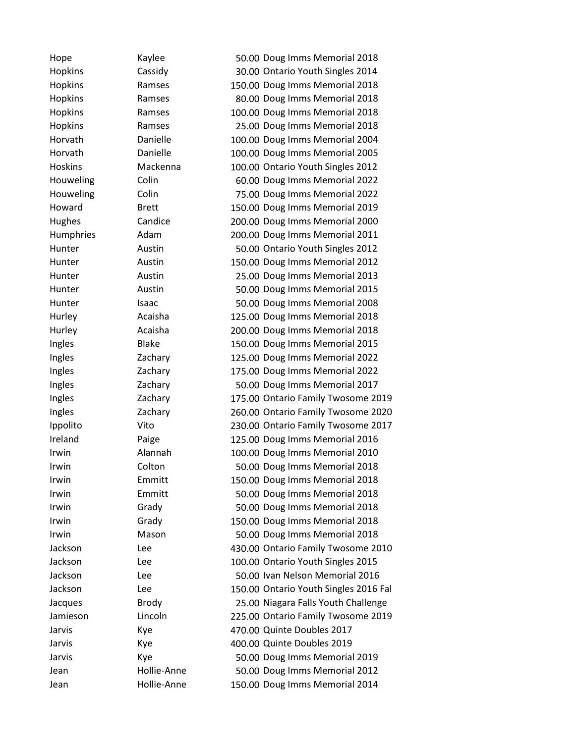Hope Kaylee 50.00 Doug Imms Memorial 2018 Hopkins Cassidy 30.00 Ontario Youth Singles 2014 Hopkins Ramses 150.00 Doug Imms Memorial 2018 Hopkins Ramses 80.00 Doug Imms Memorial 2018 Hopkins Ramses 100.00 Doug Imms Memorial 2018 Hopkins Ramses 25.00 Doug Imms Memorial 2018 Horvath Danielle 100.00 Doug Imms Memorial 2004 Horvath Danielle 100.00 Doug Imms Memorial 2005 Hoskins Mackenna 100.00 Ontario Youth Singles 2012 Houweling Colin 60.00 Doug Imms Memorial 2022 Houweling Colin 75.00 Doug Imms Memorial 2022 Howard Brett 150.00 Doug Imms Memorial 2019 Hughes Candice 200.00 Doug Imms Memorial 2000 Humphries Adam 200.00 Doug Imms Memorial 2011 Hunter Austin 50.00 Ontario Youth Singles 2012 Hunter Austin 150.00 Doug Imms Memorial 2012 Hunter Austin 25.00 Doug Imms Memorial 2013 Hunter Austin 50.00 Doug Imms Memorial 2015 Hunter **Isaac** Isaac 50.00 Doug Imms Memorial 2008 Hurley Acaisha 125.00 Doug Imms Memorial 2018 Hurley Acaisha 200.00 Doug Imms Memorial 2018 Ingles Blake 150.00 Doug Imms Memorial 2015 Ingles Zachary 125.00 Doug Imms Memorial 2022 Ingles Zachary 175.00 Doug Imms Memorial 2022 Ingles Zachary 50.00 Doug Imms Memorial 2017 Ingles Zachary 175.00 Ontario Family Twosome 2019 Ingles Zachary 260.00 Ontario Family Twosome 2020 Ippolito Vito 230.00 Ontario Family Twosome 2017 Ireland Paige 125.00 Doug Imms Memorial 2016 Irwin Alannah 100.00 Doug Imms Memorial 2010 Irwin Colton 50.00 Doug Imms Memorial 2018 Irwin Emmitt 150.00 Doug Imms Memorial 2018 Irwin Emmitt 50.00 Doug Imms Memorial 2018 Irwin Grady 50.00 Doug Imms Memorial 2018 Irwin Grady 150.00 Doug Imms Memorial 2018 Irwin Mason 50.00 Doug Imms Memorial 2018 Jackson Lee 430.00 Ontario Family Twosome 2010 Jackson Lee 100.00 Ontario Youth Singles 2015 Jackson Lee 50.00 Ivan Nelson Memorial 2016 Jackson Lee 150.00 Ontario Youth Singles 2016 Fal Jacques Brody 25.00 Niagara Falls Youth Challenge Jamieson Lincoln 225.00 Ontario Family Twosome 2019 Jarvis Kye 470.00 Quinte Doubles 2017 Jarvis Kye Komes (400.00 Quinte Doubles 2019 Jarvis Kye 50.00 Doug Imms Memorial 2019 Jean Hollie-Anne 50.00 Doug Imms Memorial 2012 Jean Hollie-Anne 150.00 Doug Imms Memorial 2014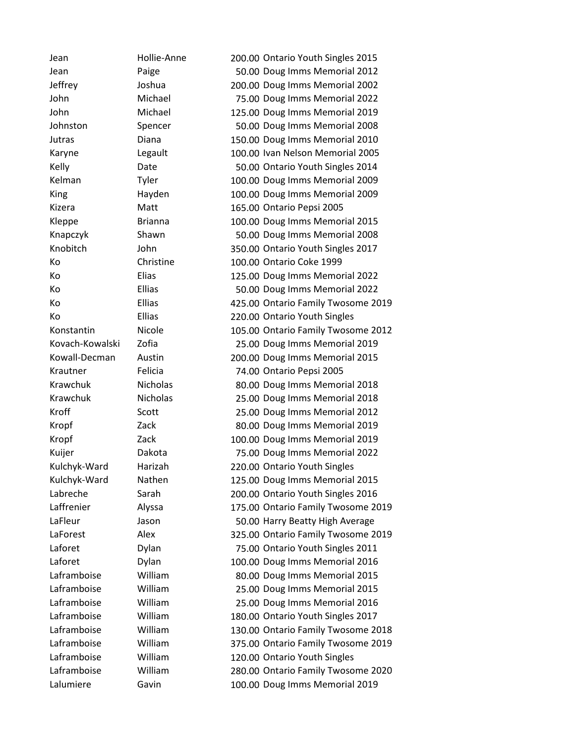Jean Hollie-Anne 200.00 Ontario Youth Singles 2015 Jean Paige 50.00 Doug Imms Memorial 2012 Jeffrey Joshua 200.00 Doug Imms Memorial 2002 John Michael 75.00 Doug Imms Memorial 2022 John Michael 125.00 Doug Imms Memorial 2019 Johnston Spencer 50.00 Doug Imms Memorial 2008 Jutras Diana 150.00 Doug Imms Memorial 2010 Karyne Legault 100.00 Ivan Nelson Memorial 2005 Kelly Date 50.00 Ontario Youth Singles 2014 Kelman Tyler 100.00 Doug Imms Memorial 2009 King Hayden 100.00 Doug Imms Memorial 2009 Kizera Matt 165.00 Ontario Pepsi 2005 Kleppe Brianna 100.00 Doug Imms Memorial 2015 Knapczyk Shawn 50.00 Doug Imms Memorial 2008 Knobitch John 350.00 Ontario Youth Singles 2017 Ko Christine 100.00 Ontario Coke 1999 Ko Elias 125.00 Doug Imms Memorial 2022 Ko Ellias 50.00 Doug Imms Memorial 2022 Ko Ellias 425.00 Ontario Family Twosome 2019 Ko Ellias 220.00 Ontario Youth Singles Konstantin Nicole 105.00 Ontario Family Twosome 2012 Kovach-Kowalski Zofia 25.00 Doug Imms Memorial 2019 Kowall-Decman Austin 200.00 Doug Imms Memorial 2015 Krautner Felicia 74.00 Ontario Pepsi 2005 Krawchuk Nicholas 80.00 Doug Imms Memorial 2018 Krawchuk Nicholas 25.00 Doug Imms Memorial 2018 Kroff Scott Scott 25.00 Doug Imms Memorial 2012 Kropf **Zack 20.00 Doug Imms Memorial 2019** Kropf Zack 100.00 Doug Imms Memorial 2019 Kuijer Dakota 75.00 Doug Imms Memorial 2022 Kulchyk-Ward Harizah 220.00 Ontario Youth Singles Kulchyk-Ward Nathen 125.00 Doug Imms Memorial 2015 Labreche Sarah 200.00 Ontario Youth Singles 2016 Laffrenier Alyssa 175.00 Ontario Family Twosome 2019 LaFleur Jason 50.00 Harry Beatty High Average LaForest Alex 325.00 Ontario Family Twosome 2019 Laforet Dylan 75.00 Ontario Youth Singles 2011 Laforet Dylan 100.00 Doug Imms Memorial 2016 Laframboise William 80.00 Doug Imms Memorial 2015 Laframboise William 25.00 Doug Imms Memorial 2015 Laframboise William 25.00 Doug Imms Memorial 2016 Laframboise William 180.00 Ontario Youth Singles 2017 Laframboise William 130.00 Ontario Family Twosome 2018 Laframboise William 375.00 Ontario Family Twosome 2019 Laframboise William 120.00 Ontario Youth Singles Laframboise William 280.00 Ontario Family Twosome 2020 Lalumiere Gavin 100.00 Doug Imms Memorial 2019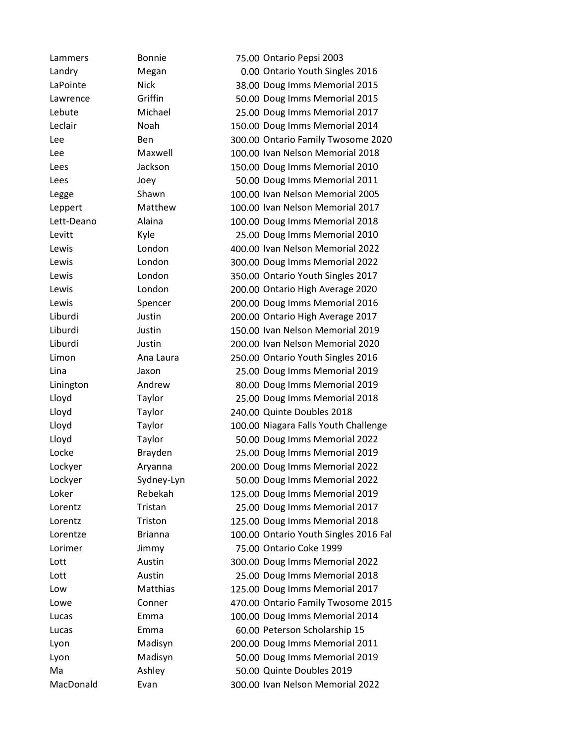Lammers Bonnie 75.00 Ontario Pepsi 2003 Landry Megan 0.00 Ontario Youth Singles 2016 LaPointe Nick 38.00 Doug Imms Memorial 2015 Lawrence Griffin 50.00 Doug Imms Memorial 2015 Lebute Michael 25.00 Doug Imms Memorial 2017 Leclair Noah 150.00 Doug Imms Memorial 2014 Lee Ben Ben 300.00 Ontario Family Twosome 2020 Lee Maxwell 100.00 Ivan Nelson Memorial 2018 Lees Jackson 150.00 Doug Imms Memorial 2010 Lees Joey 50.00 Doug Imms Memorial 2011 Legge Shawn 100.00 Ivan Nelson Memorial 2005 Leppert Matthew 100.00 Ivan Nelson Memorial 2017 Lett-Deano Alaina 100.00 Doug Imms Memorial 2018 Levitt Kyle 25.00 Doug Imms Memorial 2010 Lewis London 400.00 Ivan Nelson Memorial 2022 Lewis London 300.00 Doug Imms Memorial 2022 Lewis London 350.00 Ontario Youth Singles 2017 Lewis London 200.00 Ontario High Average 2020 Lewis Spencer 200.00 Doug Imms Memorial 2016 Liburdi Justin 200.00 Ontario High Average 2017 Liburdi Justin 150.00 Ivan Nelson Memorial 2019 Liburdi Justin 200.00 Ivan Nelson Memorial 2020 Limon Ana Laura 250.00 Ontario Youth Singles 2016 Lina Jaxon 25.00 Doug Imms Memorial 2019 Linington Andrew 80.00 Doug Imms Memorial 2019 Lloyd Taylor 25.00 Doug Imms Memorial 2018 Lloyd Taylor 240.00 Quinte Doubles 2018 Lloyd Taylor 100.00 Niagara Falls Youth Challenge Lloyd Taylor 50.00 Doug Imms Memorial 2022 Locke Brayden 25.00 Doug Imms Memorial 2019 Lockyer Aryanna 200.00 Doug Imms Memorial 2022 Lockyer Sydney-Lyn 50.00 Doug Imms Memorial 2022 Loker Rebekah 125.00 Doug Imms Memorial 2019 Lorentz Tristan 25.00 Doug Imms Memorial 2017 Lorentz Triston 125.00 Doug Imms Memorial 2018 Lorentze Brianna 100.00 Ontario Youth Singles 2016 Fal Lorimer Jimmy 75.00 Ontario Coke 1999 Lott Austin 300.00 Doug Imms Memorial 2022 Lott Austin 25.00 Doug Imms Memorial 2018 Low Matthias 125.00 Doug Imms Memorial 2017 Lowe Conner 470.00 Ontario Family Twosome 2015 Lucas Emma 100.00 Doug Imms Memorial 2014 Lucas Emma 60.00 Peterson Scholarship 15 Lyon Madisyn 200.00 Doug Imms Memorial 2011 Lyon Madisyn 50.00 Doug Imms Memorial 2019 Ma Ashley 50.00 Quinte Doubles 2019 MacDonald Evan 300.00 Ivan Nelson Memorial 2022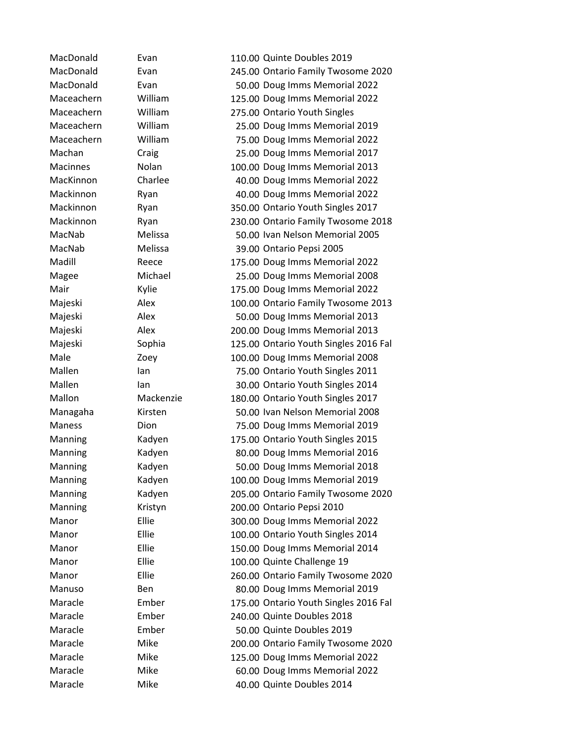MacDonald Evan 110.00 Quinte Doubles 2019 MacDonald Evan 245.00 Ontario Family Twosome 2020 MacDonald Evan 50.00 Doug Imms Memorial 2022 Maceachern William 125.00 Doug Imms Memorial 2022 Maceachern William 275.00 Ontario Youth Singles Maceachern William 25.00 Doug Imms Memorial 2019 Maceachern William 75.00 Doug Imms Memorial 2022 Machan Craig 25.00 Doug Imms Memorial 2017 Macinnes Nolan 100.00 Doug Imms Memorial 2013 MacKinnon Charlee 40.00 Doug Imms Memorial 2022 Mackinnon Ryan 40.00 Doug Imms Memorial 2022 Mackinnon Ryan 350.00 Ontario Youth Singles 2017 Mackinnon Ryan 230.00 Ontario Family Twosome 2018 MacNab Melissa 50.00 Ivan Nelson Memorial 2005 MacNab Melissa 39.00 Ontario Pepsi 2005 Madill Reece 175.00 Doug Imms Memorial 2022 Magee Michael 25.00 Doug Imms Memorial 2008 Mair Kylie 175.00 Doug Imms Memorial 2022 Majeski Alex 100.00 Ontario Family Twosome 2013 Majeski Alex 50.00 Doug Imms Memorial 2013 Majeski Alex 200.00 Doug Imms Memorial 2013 Majeski Sophia 125.00 Ontario Youth Singles 2016 Fal Male **2008** Zoey 100.00 Doug Imms Memorial 2008 Mallen Ian Ian 75.00 Ontario Youth Singles 2011 Mallen Ian Ian 30.00 Ontario Youth Singles 2014 Mallon Mackenzie 180.00 Ontario Youth Singles 2017 Managaha Kirsten 50.00 Ivan Nelson Memorial 2008 Maness Dion 75.00 Doug Imms Memorial 2019 Manning Kadyen 175.00 Ontario Youth Singles 2015 Manning Kadyen 80.00 Doug Imms Memorial 2016 Manning Kadyen 50.00 Doug Imms Memorial 2018 Manning Kadyen 100.00 Doug Imms Memorial 2019 Manning Kadyen 205.00 Ontario Family Twosome 2020 Manning Kristyn 200.00 Ontario Pepsi 2010 Manor Ellie 300.00 Doug Imms Memorial 2022 Manor Ellie 100.00 Ontario Youth Singles 2014 Manor Ellie 150.00 Doug Imms Memorial 2014 Manor Ellie 100.00 Quinte Challenge 19 Manor Ellie 260.00 Ontario Family Twosome 2020 Manuso Ben 80.00 Doug Imms Memorial 2019 Maracle Ember 175.00 Ontario Youth Singles 2016 Fal Maracle Ember 240.00 Quinte Doubles 2018 Maracle Ember 50.00 Quinte Doubles 2019 Maracle Mike 200.00 Ontario Family Twosome 2020 Maracle Mike 125.00 Doug Imms Memorial 2022 Maracle Mike 60.00 Doug Imms Memorial 2022 Maracle Mike 40.00 Quinte Doubles 2014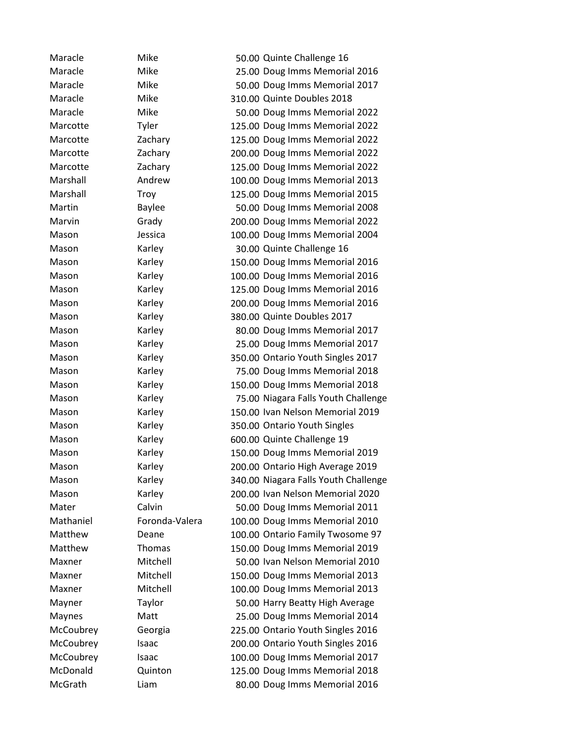| Maracle   | Mike           | 50.00 Quinte Challenge 16            |
|-----------|----------------|--------------------------------------|
| Maracle   | Mike           | 25.00 Doug Imms Memorial 2016        |
| Maracle   | Mike           | 50.00 Doug Imms Memorial 2017        |
| Maracle   | Mike           | 310.00 Quinte Doubles 2018           |
| Maracle   | Mike           | 50.00 Doug Imms Memorial 2022        |
| Marcotte  | Tyler          | 125.00 Doug Imms Memorial 2022       |
| Marcotte  | Zachary        | 125.00 Doug Imms Memorial 2022       |
| Marcotte  | Zachary        | 200.00 Doug Imms Memorial 2022       |
| Marcotte  | Zachary        | 125.00 Doug Imms Memorial 2022       |
| Marshall  | Andrew         | 100.00 Doug Imms Memorial 2013       |
| Marshall  | Troy           | 125.00 Doug Imms Memorial 2015       |
| Martin    | <b>Baylee</b>  | 50.00 Doug Imms Memorial 2008        |
| Marvin    | Grady          | 200.00 Doug Imms Memorial 2022       |
| Mason     | Jessica        | 100.00 Doug Imms Memorial 2004       |
| Mason     | Karley         | 30.00 Quinte Challenge 16            |
| Mason     | Karley         | 150.00 Doug Imms Memorial 2016       |
| Mason     | Karley         | 100.00 Doug Imms Memorial 2016       |
| Mason     | Karley         | 125.00 Doug Imms Memorial 2016       |
| Mason     | Karley         | 200.00 Doug Imms Memorial 2016       |
| Mason     | Karley         | 380.00 Quinte Doubles 2017           |
| Mason     | Karley         | 80.00 Doug Imms Memorial 2017        |
| Mason     | Karley         | 25.00 Doug Imms Memorial 2017        |
| Mason     | Karley         | 350.00 Ontario Youth Singles 2017    |
| Mason     | Karley         | 75.00 Doug Imms Memorial 2018        |
| Mason     | Karley         | 150.00 Doug Imms Memorial 2018       |
| Mason     | Karley         | 75.00 Niagara Falls Youth Challenge  |
| Mason     | Karley         | 150.00 Ivan Nelson Memorial 2019     |
| Mason     | Karley         | 350.00 Ontario Youth Singles         |
| Mason     | Karley         | 600.00 Quinte Challenge 19           |
| Mason     | Karley         | 150.00 Doug Imms Memorial 2019       |
| Mason     | Karley         | 200.00 Ontario High Average 2019     |
| Mason     | Karley         | 340.00 Niagara Falls Youth Challenge |
| Mason     | Karley         | 200.00 Ivan Nelson Memorial 2020     |
| Mater     | Calvin         | 50.00 Doug Imms Memorial 2011        |
| Mathaniel | Foronda-Valera | 100.00 Doug Imms Memorial 2010       |
| Matthew   | Deane          | 100.00 Ontario Family Twosome 97     |
| Matthew   | <b>Thomas</b>  | 150.00 Doug Imms Memorial 2019       |
| Maxner    | Mitchell       | 50.00 Ivan Nelson Memorial 2010      |
| Maxner    | Mitchell       | 150.00 Doug Imms Memorial 2013       |
| Maxner    | Mitchell       | 100.00 Doug Imms Memorial 2013       |
| Mayner    | Taylor         | 50.00 Harry Beatty High Average      |
| Maynes    | Matt           | 25.00 Doug Imms Memorial 2014        |
| McCoubrey | Georgia        | 225.00 Ontario Youth Singles 2016    |
| McCoubrey | Isaac          | 200.00 Ontario Youth Singles 2016    |
| McCoubrey | Isaac          | 100.00 Doug Imms Memorial 2017       |
| McDonald  | Quinton        | 125.00 Doug Imms Memorial 2018       |
| McGrath   | Liam           | 80.00 Doug Imms Memorial 2016        |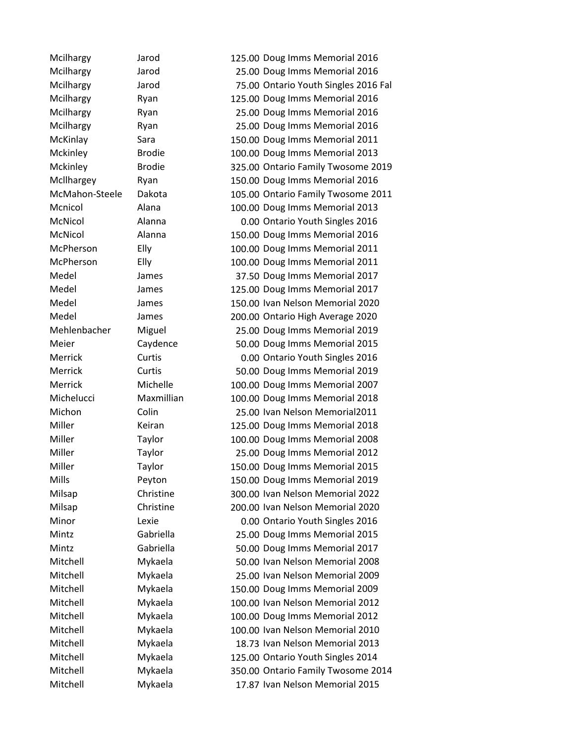Mcilhargy Jarod 125.00 Doug Imms Memorial 2016 Mcilhargy Jarod 25.00 Doug Imms Memorial 2016 Mcilhargy Jarod 75.00 Ontario Youth Singles 2016 Fal Mcilhargy Ryan Ryan 125.00 Doug Imms Memorial 2016 Mcilhargy Ryan 25.00 Doug Imms Memorial 2016 Mcilhargy Ryan 25.00 Doug Imms Memorial 2016 McKinlay Sara 150.00 Doug Imms Memorial 2011 Mckinley Brodie 100.00 Doug Imms Memorial 2013 Mckinley Brodie 325.00 Ontario Family Twosome 2019 Mcllhargey Ryan 150.00 Doug Imms Memorial 2016 McMahon-Steele Dakota 105.00 Ontario Family Twosome 2011 Mcnicol Alana 100.00 Doug Imms Memorial 2013 McNicol Alanna 0.00 Ontario Youth Singles 2016 McNicol Alanna 150.00 Doug Imms Memorial 2016 McPherson Elly 100.00 Doug Imms Memorial 2011 McPherson Elly 100.00 Doug Imms Memorial 2011 Medel James 37.50 Doug Imms Memorial 2017 Medel James 125.00 Doug Imms Memorial 2017 Medel James 150.00 Ivan Nelson Memorial 2020 Medel James 200.00 Ontario High Average 2020 Mehlenbacher Miguel 25.00 Doug Imms Memorial 2019 Meier Caydence 50.00 Doug Imms Memorial 2015 Merrick Curtis 0.00 Ontario Youth Singles 2016 Merrick Curtis 50.00 Doug Imms Memorial 2019 Merrick Michelle 100.00 Doug Imms Memorial 2007 Michelucci Maxmillian 100.00 Doug Imms Memorial 2018 Michon Colin 25.00 Ivan Nelson Memorial2011 Miller Keiran 125.00 Doug Imms Memorial 2018 Miller Taylor 100.00 Doug Imms Memorial 2008 Miller Taylor 25.00 Doug Imms Memorial 2012 Miller Taylor 150.00 Doug Imms Memorial 2015 Mills Peyton 150.00 Doug Imms Memorial 2019 Milsap Christine 300.00 Ivan Nelson Memorial 2022 Milsap Christine 200.00 Ivan Nelson Memorial 2020 Minor Lexie 0.00 Ontario Youth Singles 2016 Mintz Gabriella 25.00 Doug Imms Memorial 2015 Mintz Gabriella 50.00 Doug Imms Memorial 2017 Mitchell Mykaela 50.00 Ivan Nelson Memorial 2008 Mitchell Mykaela 25.00 Ivan Nelson Memorial 2009 Mitchell Mykaela 150.00 Doug Imms Memorial 2009 Mitchell Mykaela 100.00 Ivan Nelson Memorial 2012 Mitchell Mykaela 100.00 Doug Imms Memorial 2012 Mitchell Mykaela 100.00 Ivan Nelson Memorial 2010 Mitchell Mykaela 18.73 Ivan Nelson Memorial 2013 Mitchell Mykaela 125.00 Ontario Youth Singles 2014 Mitchell Mykaela 350.00 Ontario Family Twosome 2014 Mitchell Mykaela 17.87 Ivan Nelson Memorial 2015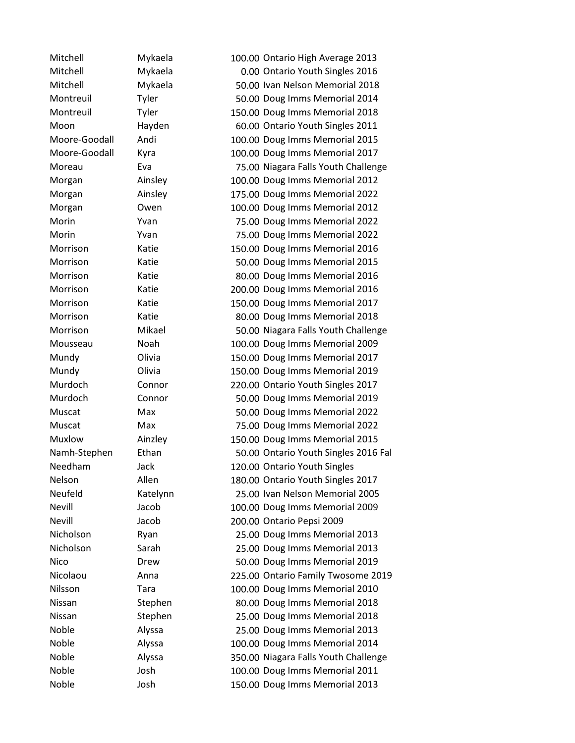Mitchell Mykaela 100.00 Ontario High Average 2013 Mitchell Mykaela 0.00 Ontario Youth Singles 2016 Mitchell Mykaela 50.00 Ivan Nelson Memorial 2018 Montreuil Tyler 50.00 Doug Imms Memorial 2014 Montreuil Tyler 150.00 Doug Imms Memorial 2018 Moon Hayden 60.00 Ontario Youth Singles 2011 Moore-Goodall Andi 100.00 Doug Imms Memorial 2015 Moore-Goodall Kyra 100.00 Doug Imms Memorial 2017 Moreau Eva 75.00 Niagara Falls Youth Challenge Morgan Ainsley 100.00 Doug Imms Memorial 2012 Morgan Ainsley 175.00 Doug Imms Memorial 2022 Morgan Owen 100.00 Doug Imms Memorial 2012 Morin Yvan 75.00 Doug Imms Memorial 2022 Morin Yvan 75.00 Doug Imms Memorial 2022 Morrison Katie 150.00 Doug Imms Memorial 2016 Morrison Katie 50.00 Doug Imms Memorial 2015 Morrison Katie 80.00 Doug Imms Memorial 2016 Morrison Katie 200.00 Doug Imms Memorial 2016 Morrison Katie 150.00 Doug Imms Memorial 2017 Morrison Katie 80.00 Doug Imms Memorial 2018 Morrison Mikael 50.00 Niagara Falls Youth Challenge Mousseau Noah 100.00 Doug Imms Memorial 2009 Mundy Olivia 150.00 Doug Imms Memorial 2017 Mundy Olivia 150.00 Doug Imms Memorial 2019 Murdoch Connor 220.00 Ontario Youth Singles 2017 Murdoch Connor 50.00 Doug Imms Memorial 2019 Muscat Max 50.00 Doug Imms Memorial 2022 Muscat Max 75.00 Doug Imms Memorial 2022 Muxlow Ainzley 150.00 Doug Imms Memorial 2015 Namh-Stephen Ethan 50.00 Ontario Youth Singles 2016 Fal Needham Jack 120.00 Ontario Youth Singles Nelson Allen 180.00 Ontario Youth Singles 2017 Neufeld Katelynn 25.00 Ivan Nelson Memorial 2005 Nevill Jacob 100.00 Doug Imms Memorial 2009 Nevill Jacob 200.00 Ontario Pepsi 2009 Nicholson Ryan 25.00 Doug Imms Memorial 2013 Nicholson Sarah 25.00 Doug Imms Memorial 2013 Nico Drew 50.00 Doug Imms Memorial 2019 Nicolaou Anna 225.00 Ontario Family Twosome 2019 Nilsson Tara 100.00 Doug Imms Memorial 2010 Nissan Stephen 80.00 Doug Imms Memorial 2018 Nissan Stephen 25.00 Doug Imms Memorial 2018 Noble Alyssa 25.00 Doug Imms Memorial 2013 Noble Alyssa 100.00 Doug Imms Memorial 2014 Noble Alyssa 350.00 Niagara Falls Youth Challenge Noble Josh 100.00 Doug Imms Memorial 2011 Noble Josh 150.00 Doug Imms Memorial 2013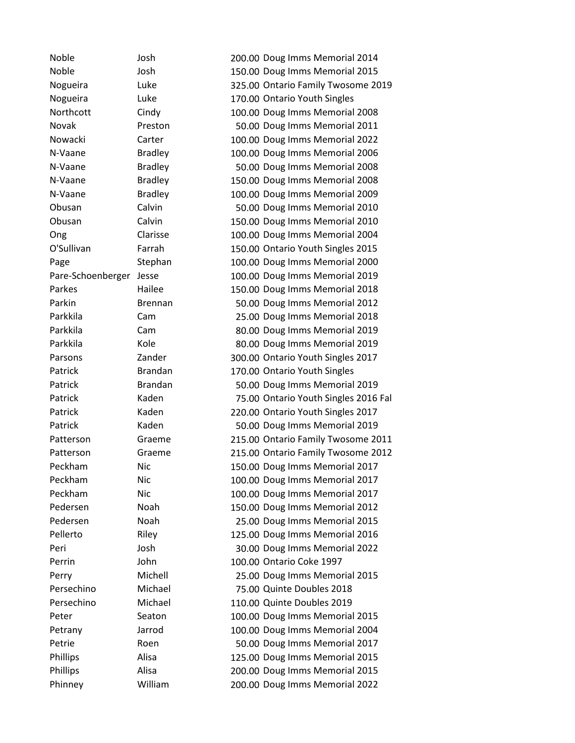Noble Josh 200.00 Doug Imms Memorial 2014 Noble Josh 150.00 Doug Imms Memorial 2015 Nogueira Luke 325.00 Ontario Family Twosome 2019 Nogueira Luke 170.00 Ontario Youth Singles Northcott Cindy 100.00 Doug Imms Memorial 2008 Novak Preston 50.00 Doug Imms Memorial 2011 Nowacki Carter 100.00 Doug Imms Memorial 2022 N-Vaane Bradley 100.00 Doug Imms Memorial 2006 N-Vaane Bradley 50.00 Doug Imms Memorial 2008 N-Vaane Bradley 150.00 Doug Imms Memorial 2008 N-Vaane Bradley 100.00 Doug Imms Memorial 2009 Obusan Calvin 50.00 Doug Imms Memorial 2010 Obusan Calvin 150.00 Doug Imms Memorial 2010 Ong Clarisse 100.00 Doug Imms Memorial 2004 O'Sullivan Farrah 150.00 Ontario Youth Singles 2015 Page Stephan 100.00 Doug Imms Memorial 2000 Pare-Schoenberger Jesse 100.00 Doug Imms Memorial 2019 Parkes Hailee 150.00 Doug Imms Memorial 2018 Parkin Brennan 50.00 Doug Imms Memorial 2012 Parkkila Cam 25.00 Doug Imms Memorial 2018 Parkkila Cam 80.00 Doug Imms Memorial 2019 Parkkila Kole 80.00 Doug Imms Memorial 2019 Parsons **Zander** 200.00 Ontario Youth Singles 2017 Patrick Brandan 170.00 Ontario Youth Singles Patrick Brandan 50.00 Doug Imms Memorial 2019 Patrick Kaden 75.00 Ontario Youth Singles 2016 Fal Patrick Kaden 220.00 Ontario Youth Singles 2017 Patrick Kaden Kaden 50.00 Doug Imms Memorial 2019 Patterson Graeme 215.00 Ontario Family Twosome 2011 Patterson Graeme 215.00 Ontario Family Twosome 2012 Peckham Nic 150.00 Doug Imms Memorial 2017 Peckham Nic 100.00 Doug Imms Memorial 2017 Peckham Nic 100.00 Doug Imms Memorial 2017 Pedersen Noah 150.00 Doug Imms Memorial 2012 Pedersen Noah 25.00 Doug Imms Memorial 2015 Pellerto Riley Riley 125.00 Doug Imms Memorial 2016 Peri Josh 30.00 Doug Imms Memorial 2022 Perrin John 100.00 Ontario Coke 1997 Perry Michell 25.00 Doug Imms Memorial 2015 Persechino Michael 75.00 Quinte Doubles 2018 Persechino Michael 110.00 Quinte Doubles 2019 Peter Seaton 100.00 Doug Imms Memorial 2015 Petrany Jarrod 100.00 Doug Imms Memorial 2004 Petrie Roen Roen 50.00 Doug Imms Memorial 2017 Phillips Alisa 125.00 Doug Imms Memorial 2015 Phillips Alisa 200.00 Doug Imms Memorial 2015 Phinney William 200.00 Doug Imms Memorial 2022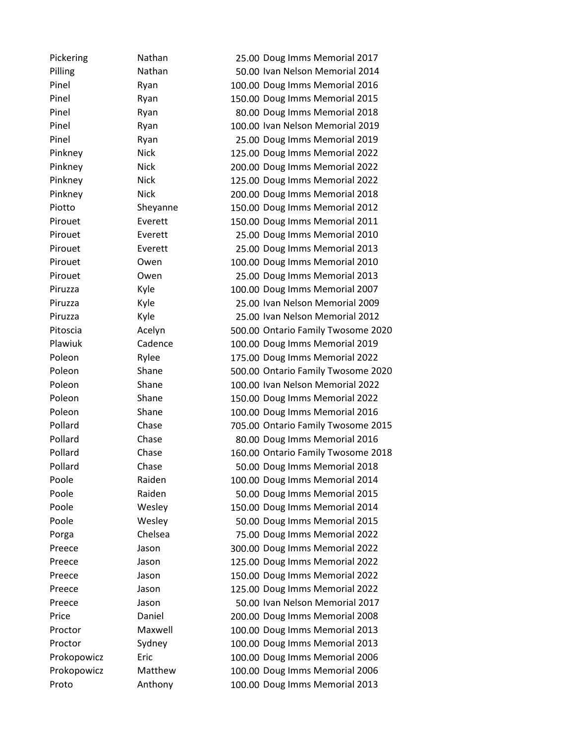| Pickering   | Nathan      | 25.00 Doug Imms Memorial 2017      |
|-------------|-------------|------------------------------------|
| Pilling     | Nathan      | 50.00 Ivan Nelson Memorial 2014    |
| Pinel       | Ryan        | 100.00 Doug Imms Memorial 2016     |
| Pinel       | Ryan        | 150.00 Doug Imms Memorial 2015     |
| Pinel       | Ryan        | 80.00 Doug Imms Memorial 2018      |
| Pinel       | Ryan        | 100.00 Ivan Nelson Memorial 2019   |
| Pinel       | Ryan        | 25.00 Doug Imms Memorial 2019      |
| Pinkney     | <b>Nick</b> | 125.00 Doug Imms Memorial 2022     |
| Pinkney     | <b>Nick</b> | 200.00 Doug Imms Memorial 2022     |
| Pinkney     | <b>Nick</b> | 125.00 Doug Imms Memorial 2022     |
| Pinkney     | <b>Nick</b> | 200.00 Doug Imms Memorial 2018     |
| Piotto      | Sheyanne    | 150.00 Doug Imms Memorial 2012     |
| Pirouet     | Everett     | 150.00 Doug Imms Memorial 2011     |
| Pirouet     | Everett     | 25.00 Doug Imms Memorial 2010      |
| Pirouet     | Everett     | 25.00 Doug Imms Memorial 2013      |
| Pirouet     | Owen        | 100.00 Doug Imms Memorial 2010     |
| Pirouet     | Owen        | 25.00 Doug Imms Memorial 2013      |
| Piruzza     | Kyle        | 100.00 Doug Imms Memorial 2007     |
| Piruzza     | Kyle        | 25.00 Ivan Nelson Memorial 2009    |
| Piruzza     | Kyle        | 25.00 Ivan Nelson Memorial 2012    |
| Pitoscia    | Acelyn      | 500.00 Ontario Family Twosome 2020 |
| Plawiuk     | Cadence     | 100.00 Doug Imms Memorial 2019     |
| Poleon      | Rylee       | 175.00 Doug Imms Memorial 2022     |
| Poleon      | Shane       | 500.00 Ontario Family Twosome 2020 |
| Poleon      | Shane       | 100.00 Ivan Nelson Memorial 2022   |
| Poleon      | Shane       | 150.00 Doug Imms Memorial 2022     |
| Poleon      | Shane       | 100.00 Doug Imms Memorial 2016     |
| Pollard     | Chase       | 705.00 Ontario Family Twosome 2015 |
| Pollard     | Chase       | 80.00 Doug Imms Memorial 2016      |
| Pollard     | Chase       | 160.00 Ontario Family Twosome 2018 |
| Pollard     | Chase       | 50.00 Doug Imms Memorial 2018      |
| Poole       | Raiden      | 100.00 Doug Imms Memorial 2014     |
| Poole       | Raiden      | 50.00 Doug Imms Memorial 2015      |
| Poole       | Wesley      | 150.00 Doug Imms Memorial 2014     |
| Poole       | Wesley      | 50.00 Doug Imms Memorial 2015      |
| Porga       | Chelsea     | 75.00 Doug Imms Memorial 2022      |
| Preece      | Jason       | 300.00 Doug Imms Memorial 2022     |
| Preece      | Jason       | 125.00 Doug Imms Memorial 2022     |
| Preece      | Jason       | 150.00 Doug Imms Memorial 2022     |
| Preece      | Jason       | 125.00 Doug Imms Memorial 2022     |
| Preece      | Jason       | 50.00 Ivan Nelson Memorial 2017    |
| Price       | Daniel      | 200.00 Doug Imms Memorial 2008     |
| Proctor     | Maxwell     | 100.00 Doug Imms Memorial 2013     |
| Proctor     | Sydney      | 100.00 Doug Imms Memorial 2013     |
| Prokopowicz | Eric        | 100.00 Doug Imms Memorial 2006     |
| Prokopowicz | Matthew     | 100.00 Doug Imms Memorial 2006     |
| Proto       | Anthony     | 100.00 Doug Imms Memorial 2013     |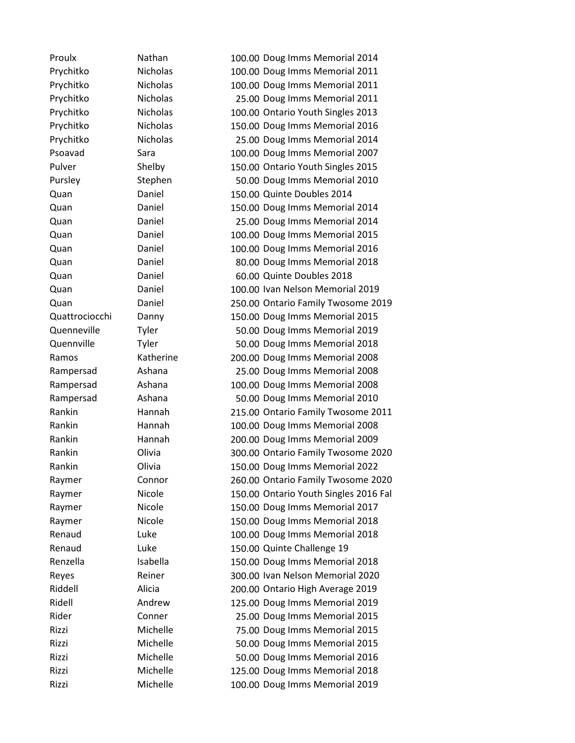Proulx Nathan 100.00 Doug Imms Memorial 2014 Prychitko Nicholas 100.00 Doug Imms Memorial 2011 Prychitko Nicholas 100.00 Doug Imms Memorial 2011 Prychitko Nicholas 25.00 Doug Imms Memorial 2011 Prychitko Nicholas 100.00 Ontario Youth Singles 2013 Prychitko Nicholas 150.00 Doug Imms Memorial 2016 Prychitko Nicholas 25.00 Doug Imms Memorial 2014 Psoavad Sara 100.00 Doug Imms Memorial 2007 Pulver Shelby 150.00 Ontario Youth Singles 2015 Pursley Stephen 50.00 Doug Imms Memorial 2010 Quan Daniel 150.00 Quinte Doubles 2014 Quan Daniel 150.00 Doug Imms Memorial 2014 Quan Daniel 25.00 Doug Imms Memorial 2014 Quan Daniel 100.00 Doug Imms Memorial 2015 Quan Daniel 100.00 Doug Imms Memorial 2016 Quan Daniel 80.00 Doug Imms Memorial 2018 Quan Daniel 60.00 Quinte Doubles 2018 Quan Daniel 100.00 Ivan Nelson Memorial 2019 Quan Daniel 250.00 Ontario Family Twosome 2019 Quattrociocchi Danny 150.00 Doug Imms Memorial 2015 Quenneville Tyler 50.00 Doug Imms Memorial 2019 Quennville Tyler 50.00 Doug Imms Memorial 2018 Ramos Katherine 200.00 Doug Imms Memorial 2008 Rampersad Ashana 25.00 Doug Imms Memorial 2008 Rampersad Ashana 100.00 Doug Imms Memorial 2008 Rampersad Ashana 50.00 Doug Imms Memorial 2010 Rankin Hannah 215.00 Ontario Family Twosome 2011 Rankin Hannah 100.00 Doug Imms Memorial 2008 Rankin Hannah 200.00 Doug Imms Memorial 2009 Rankin Olivia 300.00 Ontario Family Twosome 2020 Rankin Olivia 150.00 Doug Imms Memorial 2022 Raymer Connor 260.00 Ontario Family Twosome 2020 Raymer Micole 150.00 Ontario Youth Singles 2016 Fal Raymer **Nicole** 150.00 Doug Imms Memorial 2017 Raymer Nicole 150.00 Doug Imms Memorial 2018 Renaud Luke 100.00 Doug Imms Memorial 2018 Renaud Luke 150.00 Quinte Challenge 19 Renzella Isabella 150.00 Doug Imms Memorial 2018 Reyes Reiner 300.00 Ivan Nelson Memorial 2020 Riddell Alicia 200.00 Ontario High Average 2019 Ridell Andrew 125.00 Doug Imms Memorial 2019 Rider Conner 25.00 Doug Imms Memorial 2015 Rizzi Michelle 75.00 Doug Imms Memorial 2015 Rizzi Michelle 50.00 Doug Imms Memorial 2015 Rizzi Michelle 50.00 Doug Imms Memorial 2016 Rizzi Michelle 125.00 Doug Imms Memorial 2018 Rizzi Michelle 100.00 Doug Imms Memorial 2019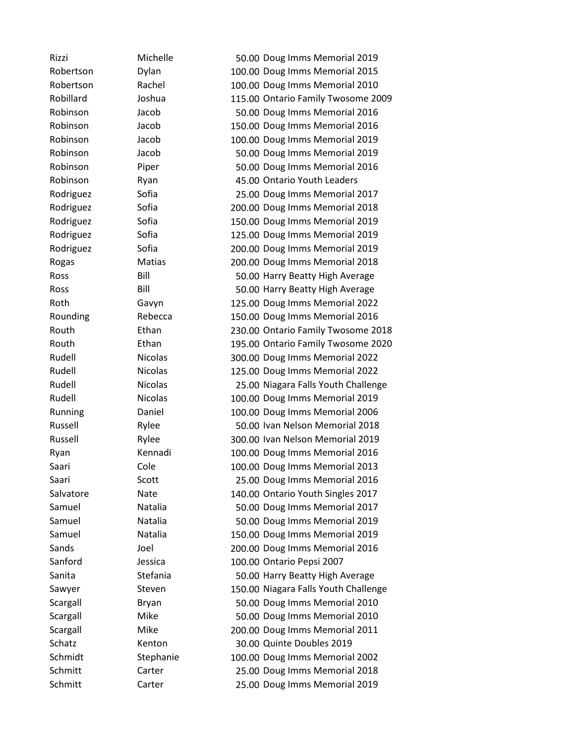| Rizzi     | Michelle       | 50.00 Doug Imms Memorial 2019        |
|-----------|----------------|--------------------------------------|
| Robertson | Dylan          | 100.00 Doug Imms Memorial 2015       |
| Robertson | Rachel         | 100.00 Doug Imms Memorial 2010       |
| Robillard | Joshua         | 115.00 Ontario Family Twosome 2009   |
| Robinson  | Jacob          | 50.00 Doug Imms Memorial 2016        |
| Robinson  | Jacob          | 150.00 Doug Imms Memorial 2016       |
| Robinson  | Jacob          | 100.00 Doug Imms Memorial 2019       |
| Robinson  | Jacob          | 50.00 Doug Imms Memorial 2019        |
| Robinson  | Piper          | 50.00 Doug Imms Memorial 2016        |
| Robinson  | Ryan           | 45.00 Ontario Youth Leaders          |
| Rodriguez | Sofia          | 25.00 Doug Imms Memorial 2017        |
| Rodriguez | Sofia          | 200.00 Doug Imms Memorial 2018       |
| Rodriguez | Sofia          | 150.00 Doug Imms Memorial 2019       |
| Rodriguez | Sofia          | 125.00 Doug Imms Memorial 2019       |
| Rodriguez | Sofia          | 200.00 Doug Imms Memorial 2019       |
| Rogas     | Matias         | 200.00 Doug Imms Memorial 2018       |
| Ross      | Bill           | 50.00 Harry Beatty High Average      |
| Ross      | Bill           | 50.00 Harry Beatty High Average      |
| Roth      | Gavyn          | 125.00 Doug Imms Memorial 2022       |
| Rounding  | Rebecca        | 150.00 Doug Imms Memorial 2016       |
| Routh     | Ethan          | 230.00 Ontario Family Twosome 2018   |
| Routh     | Ethan          | 195.00 Ontario Family Twosome 2020   |
| Rudell    | <b>Nicolas</b> | 300.00 Doug Imms Memorial 2022       |
| Rudell    | <b>Nicolas</b> | 125.00 Doug Imms Memorial 2022       |
| Rudell    | <b>Nicolas</b> | 25.00 Niagara Falls Youth Challenge  |
| Rudell    | <b>Nicolas</b> | 100.00 Doug Imms Memorial 2019       |
| Running   | Daniel         | 100.00 Doug Imms Memorial 2006       |
| Russell   | Rylee          | 50.00 Ivan Nelson Memorial 2018      |
| Russell   | Rylee          | 300.00 Ivan Nelson Memorial 2019     |
| Ryan      | Kennadi        | 100.00 Doug Imms Memorial 2016       |
| Saari     | Cole           | 100.00 Doug Imms Memorial 2013       |
| Saari     | Scott          | 25.00 Doug Imms Memorial 2016        |
| Salvatore | Nate           | 140.00 Ontario Youth Singles 2017    |
| Samuel    | Natalia        | 50.00 Doug Imms Memorial 2017        |
| Samuel    | Natalia        | 50.00 Doug Imms Memorial 2019        |
| Samuel    | Natalia        | 150.00 Doug Imms Memorial 2019       |
| Sands     | Joel           | 200.00 Doug Imms Memorial 2016       |
| Sanford   | Jessica        | 100.00 Ontario Pepsi 2007            |
| Sanita    | Stefania       | 50.00 Harry Beatty High Average      |
| Sawyer    | Steven         | 150.00 Niagara Falls Youth Challenge |
| Scargall  | Bryan          | 50.00 Doug Imms Memorial 2010        |
| Scargall  | Mike           | 50.00 Doug Imms Memorial 2010        |
| Scargall  | Mike           | 200.00 Doug Imms Memorial 2011       |
| Schatz    | Kenton         | 30.00 Quinte Doubles 2019            |
| Schmidt   | Stephanie      | 100.00 Doug Imms Memorial 2002       |
| Schmitt   | Carter         | 25.00 Doug Imms Memorial 2018        |
| Schmitt   | Carter         | 25.00 Doug Imms Memorial 2019        |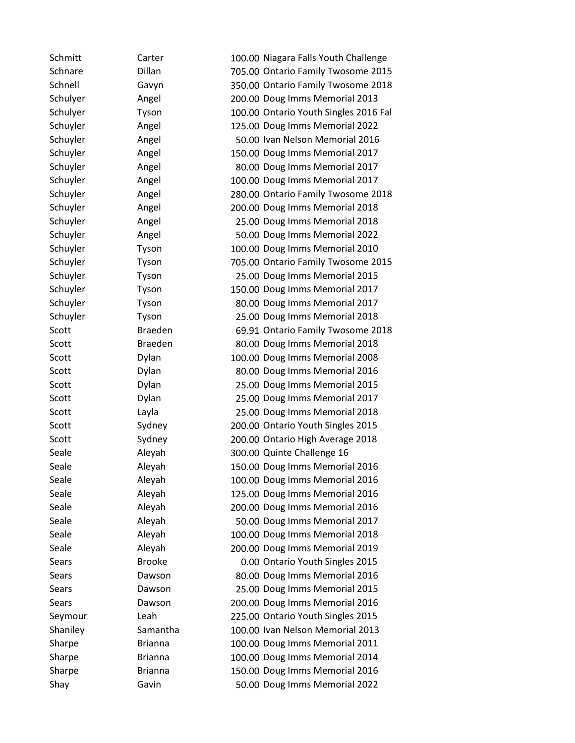| Schmitt      | Carter         | 100.00 Niagara Falls Youth Challenge  |
|--------------|----------------|---------------------------------------|
| Schnare      | <b>Dillan</b>  | 705.00 Ontario Family Twosome 2015    |
| Schnell      | Gavyn          | 350.00 Ontario Family Twosome 2018    |
| Schulyer     | Angel          | 200.00 Doug Imms Memorial 2013        |
| Schulyer     | Tyson          | 100.00 Ontario Youth Singles 2016 Fal |
| Schuyler     | Angel          | 125.00 Doug Imms Memorial 2022        |
| Schuyler     | Angel          | 50.00 Ivan Nelson Memorial 2016       |
| Schuyler     | Angel          | 150.00 Doug Imms Memorial 2017        |
| Schuyler     | Angel          | 80.00 Doug Imms Memorial 2017         |
| Schuyler     | Angel          | 100.00 Doug Imms Memorial 2017        |
| Schuyler     | Angel          | 280.00 Ontario Family Twosome 2018    |
| Schuyler     | Angel          | 200.00 Doug Imms Memorial 2018        |
| Schuyler     | Angel          | 25.00 Doug Imms Memorial 2018         |
| Schuyler     | Angel          | 50.00 Doug Imms Memorial 2022         |
| Schuyler     | Tyson          | 100.00 Doug Imms Memorial 2010        |
| Schuyler     | Tyson          | 705.00 Ontario Family Twosome 2015    |
| Schuyler     | Tyson          | 25.00 Doug Imms Memorial 2015         |
| Schuyler     | Tyson          | 150.00 Doug Imms Memorial 2017        |
| Schuyler     | Tyson          | 80.00 Doug Imms Memorial 2017         |
| Schuyler     | Tyson          | 25.00 Doug Imms Memorial 2018         |
| Scott        | <b>Braeden</b> | 69.91 Ontario Family Twosome 2018     |
| Scott        | <b>Braeden</b> | 80.00 Doug Imms Memorial 2018         |
| Scott        | Dylan          | 100.00 Doug Imms Memorial 2008        |
| Scott        | Dylan          | 80.00 Doug Imms Memorial 2016         |
| Scott        | Dylan          | 25.00 Doug Imms Memorial 2015         |
| Scott        | Dylan          | 25.00 Doug Imms Memorial 2017         |
| Scott        | Layla          | 25.00 Doug Imms Memorial 2018         |
| Scott        | Sydney         | 200.00 Ontario Youth Singles 2015     |
| Scott        | Sydney         | 200.00 Ontario High Average 2018      |
| Seale        | Aleyah         | 300.00 Quinte Challenge 16            |
| Seale        | Aleyah         | 150.00 Doug Imms Memorial 2016        |
| Seale        | Aleyah         | 100.00 Doug Imms Memorial 2016        |
| Seale        | Aleyah         | 125.00 Doug Imms Memorial 2016        |
| Seale        | Aleyah         | 200.00 Doug Imms Memorial 2016        |
| Seale        | Aleyah         | 50.00 Doug Imms Memorial 2017         |
| Seale        | Aleyah         | 100.00 Doug Imms Memorial 2018        |
| Seale        | Aleyah         | 200.00 Doug Imms Memorial 2019        |
| <b>Sears</b> | <b>Brooke</b>  | 0.00 Ontario Youth Singles 2015       |
| Sears        | Dawson         | 80.00 Doug Imms Memorial 2016         |
| Sears        | Dawson         | 25.00 Doug Imms Memorial 2015         |
| Sears        | Dawson         | 200.00 Doug Imms Memorial 2016        |
| Seymour      | Leah           | 225.00 Ontario Youth Singles 2015     |
| Shaniley     | Samantha       | 100.00 Ivan Nelson Memorial 2013      |
| Sharpe       | <b>Brianna</b> | 100.00 Doug Imms Memorial 2011        |
| Sharpe       | <b>Brianna</b> | 100.00 Doug Imms Memorial 2014        |
| Sharpe       | <b>Brianna</b> | 150.00 Doug Imms Memorial 2016        |
| Shay         | Gavin          | 50.00 Doug Imms Memorial 2022         |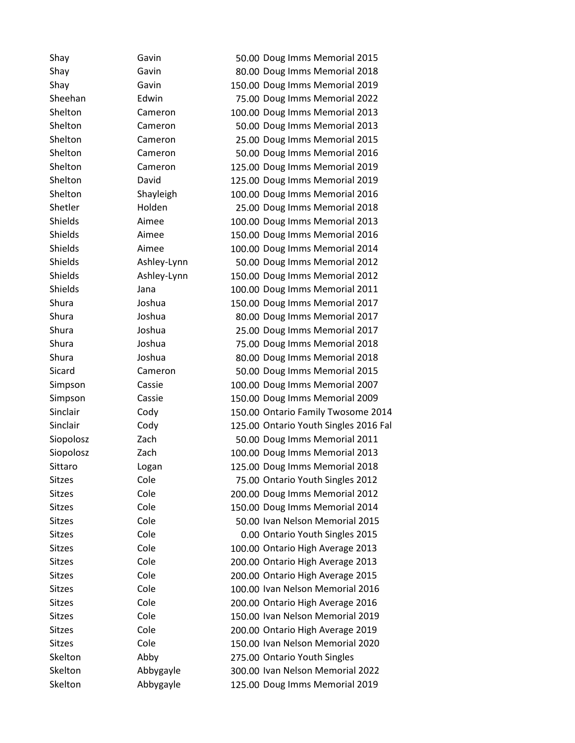| Shay          | Gavin       | 50.00 Doug Imms Memorial 2015         |
|---------------|-------------|---------------------------------------|
| Shay          | Gavin       | 80.00 Doug Imms Memorial 2018         |
| Shay          | Gavin       | 150.00 Doug Imms Memorial 2019        |
| Sheehan       | Edwin       | 75.00 Doug Imms Memorial 2022         |
| Shelton       | Cameron     | 100.00 Doug Imms Memorial 2013        |
| Shelton       | Cameron     | 50.00 Doug Imms Memorial 2013         |
| Shelton       | Cameron     | 25.00 Doug Imms Memorial 2015         |
| Shelton       | Cameron     | 50.00 Doug Imms Memorial 2016         |
| Shelton       | Cameron     | 125.00 Doug Imms Memorial 2019        |
| Shelton       | David       | 125.00 Doug Imms Memorial 2019        |
| Shelton       | Shayleigh   | 100.00 Doug Imms Memorial 2016        |
| Shetler       | Holden      | 25.00 Doug Imms Memorial 2018         |
| Shields       | Aimee       | 100.00 Doug Imms Memorial 2013        |
| Shields       | Aimee       | 150.00 Doug Imms Memorial 2016        |
| Shields       | Aimee       | 100.00 Doug Imms Memorial 2014        |
| Shields       | Ashley-Lynn | 50.00 Doug Imms Memorial 2012         |
| Shields       | Ashley-Lynn | 150.00 Doug Imms Memorial 2012        |
| Shields       | Jana        | 100.00 Doug Imms Memorial 2011        |
| Shura         | Joshua      | 150.00 Doug Imms Memorial 2017        |
| Shura         | Joshua      | 80.00 Doug Imms Memorial 2017         |
| Shura         | Joshua      | 25.00 Doug Imms Memorial 2017         |
| Shura         | Joshua      | 75.00 Doug Imms Memorial 2018         |
| Shura         | Joshua      | 80.00 Doug Imms Memorial 2018         |
| Sicard        | Cameron     | 50.00 Doug Imms Memorial 2015         |
| Simpson       | Cassie      | 100.00 Doug Imms Memorial 2007        |
| Simpson       | Cassie      | 150.00 Doug Imms Memorial 2009        |
| Sinclair      | Cody        | 150.00 Ontario Family Twosome 2014    |
| Sinclair      | Cody        | 125.00 Ontario Youth Singles 2016 Fal |
| Siopolosz     | Zach        | 50.00 Doug Imms Memorial 2011         |
| Siopolosz     | Zach        | 100.00 Doug Imms Memorial 2013        |
| Sittaro       | Logan       | 125.00 Doug Imms Memorial 2018        |
| <b>Sitzes</b> | Cole        | 75.00 Ontario Youth Singles 2012      |
| <b>Sitzes</b> | Cole        | 200.00 Doug Imms Memorial 2012        |
| <b>Sitzes</b> | Cole        | 150.00 Doug Imms Memorial 2014        |
| Sitzes        | Cole        | 50.00 Ivan Nelson Memorial 2015       |
| <b>Sitzes</b> | Cole        | 0.00 Ontario Youth Singles 2015       |
| <b>Sitzes</b> | Cole        | 100.00 Ontario High Average 2013      |
| <b>Sitzes</b> | Cole        | 200.00 Ontario High Average 2013      |
| <b>Sitzes</b> | Cole        | 200.00 Ontario High Average 2015      |
| <b>Sitzes</b> | Cole        | 100.00 Ivan Nelson Memorial 2016      |
| <b>Sitzes</b> | Cole        | 200.00 Ontario High Average 2016      |
| <b>Sitzes</b> | Cole        | 150.00 Ivan Nelson Memorial 2019      |
| <b>Sitzes</b> | Cole        | 200.00 Ontario High Average 2019      |
| <b>Sitzes</b> | Cole        | 150.00 Ivan Nelson Memorial 2020      |
| Skelton       | Abby        | 275.00 Ontario Youth Singles          |
| Skelton       | Abbygayle   | 300.00 Ivan Nelson Memorial 2022      |
| Skelton       | Abbygayle   | 125.00 Doug Imms Memorial 2019        |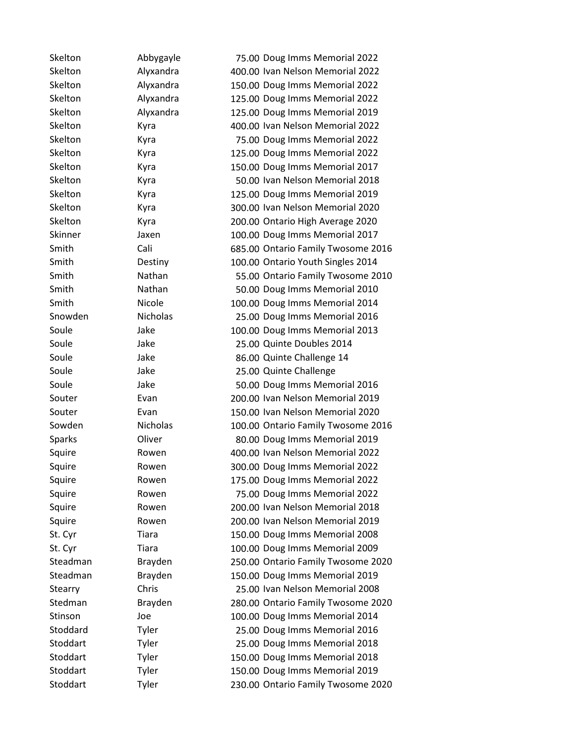| Skelton  | Abbygayle       | 75.00 Doug Imms Memorial 2022      |
|----------|-----------------|------------------------------------|
| Skelton  | Alyxandra       | 400.00 Ivan Nelson Memorial 2022   |
| Skelton  | Alyxandra       | 150.00 Doug Imms Memorial 2022     |
| Skelton  | Alyxandra       | 125.00 Doug Imms Memorial 2022     |
| Skelton  | Alyxandra       | 125.00 Doug Imms Memorial 2019     |
| Skelton  | Kyra            | 400.00 Ivan Nelson Memorial 2022   |
| Skelton  | Kyra            | 75.00 Doug Imms Memorial 2022      |
| Skelton  | Kyra            | 125.00 Doug Imms Memorial 2022     |
| Skelton  | Kyra            | 150.00 Doug Imms Memorial 2017     |
| Skelton  | Kyra            | 50.00 Ivan Nelson Memorial 2018    |
| Skelton  | Kyra            | 125.00 Doug Imms Memorial 2019     |
| Skelton  | Kyra            | 300.00 Ivan Nelson Memorial 2020   |
| Skelton  | Kyra            | 200.00 Ontario High Average 2020   |
| Skinner  | Jaxen           | 100.00 Doug Imms Memorial 2017     |
| Smith    | Cali            | 685.00 Ontario Family Twosome 2016 |
| Smith    | Destiny         | 100.00 Ontario Youth Singles 2014  |
| Smith    | Nathan          | 55.00 Ontario Family Twosome 2010  |
| Smith    | Nathan          | 50.00 Doug Imms Memorial 2010      |
| Smith    | Nicole          | 100.00 Doug Imms Memorial 2014     |
| Snowden  | <b>Nicholas</b> | 25.00 Doug Imms Memorial 2016      |
| Soule    | Jake            | 100.00 Doug Imms Memorial 2013     |
| Soule    | Jake            | 25.00 Quinte Doubles 2014          |
| Soule    | Jake            | 86.00 Quinte Challenge 14          |
| Soule    | Jake            | 25.00 Quinte Challenge             |
| Soule    | Jake            | 50.00 Doug Imms Memorial 2016      |
| Souter   | Evan            | 200.00 Ivan Nelson Memorial 2019   |
| Souter   | Evan            | 150.00 Ivan Nelson Memorial 2020   |
| Sowden   | <b>Nicholas</b> | 100.00 Ontario Family Twosome 2016 |
| Sparks   | Oliver          | 80.00 Doug Imms Memorial 2019      |
| Squire   | Rowen           | 400.00 Ivan Nelson Memorial 2022   |
| Squire   | Rowen           | 300.00 Doug Imms Memorial 2022     |
| Squire   | Rowen           | 175.00 Doug Imms Memorial 2022     |
| Squire   | Rowen           | 75.00 Doug Imms Memorial 2022      |
| Squire   | Rowen           | 200.00 Ivan Nelson Memorial 2018   |
| Squire   | Rowen           | 200.00 Ivan Nelson Memorial 2019   |
| St. Cyr  | Tiara           | 150.00 Doug Imms Memorial 2008     |
| St. Cyr  | Tiara           | 100.00 Doug Imms Memorial 2009     |
| Steadman | Brayden         | 250.00 Ontario Family Twosome 2020 |
| Steadman | Brayden         | 150.00 Doug Imms Memorial 2019     |
| Stearry  | Chris           | 25.00 Ivan Nelson Memorial 2008    |
| Stedman  | <b>Brayden</b>  | 280.00 Ontario Family Twosome 2020 |
| Stinson  | Joe             | 100.00 Doug Imms Memorial 2014     |
| Stoddard | Tyler           | 25.00 Doug Imms Memorial 2016      |
| Stoddart | Tyler           | 25.00 Doug Imms Memorial 2018      |
| Stoddart | Tyler           | 150.00 Doug Imms Memorial 2018     |
| Stoddart | Tyler           | 150.00 Doug Imms Memorial 2019     |
| Stoddart | Tyler           | 230.00 Ontario Family Twosome 2020 |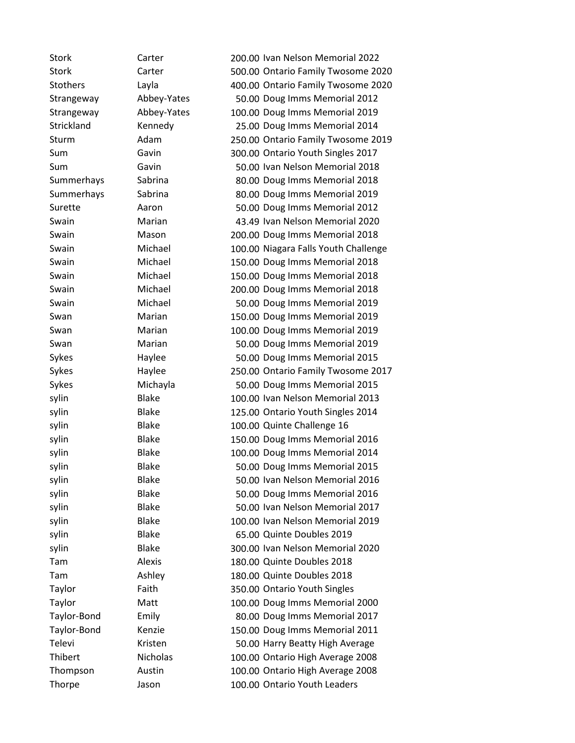| Stork           | Carter       | 200.00 Ivan Nelson Memorial 2022     |
|-----------------|--------------|--------------------------------------|
| <b>Stork</b>    | Carter       | 500.00 Ontario Family Twosome 2020   |
| <b>Stothers</b> | Layla        | 400.00 Ontario Family Twosome 2020   |
| Strangeway      | Abbey-Yates  | 50.00 Doug Imms Memorial 2012        |
| Strangeway      | Abbey-Yates  | 100.00 Doug Imms Memorial 2019       |
| Strickland      | Kennedy      | 25.00 Doug Imms Memorial 2014        |
| Sturm           | Adam         | 250.00 Ontario Family Twosome 2019   |
| Sum             | Gavin        | 300.00 Ontario Youth Singles 2017    |
| Sum             | Gavin        | 50.00 Ivan Nelson Memorial 2018      |
| Summerhays      | Sabrina      | 80.00 Doug Imms Memorial 2018        |
| Summerhays      | Sabrina      | 80.00 Doug Imms Memorial 2019        |
| Surette         | Aaron        | 50.00 Doug Imms Memorial 2012        |
| Swain           | Marian       | 43.49 Ivan Nelson Memorial 2020      |
| Swain           | Mason        | 200.00 Doug Imms Memorial 2018       |
| Swain           | Michael      | 100.00 Niagara Falls Youth Challenge |
| Swain           | Michael      | 150.00 Doug Imms Memorial 2018       |
| Swain           | Michael      | 150.00 Doug Imms Memorial 2018       |
| Swain           | Michael      | 200.00 Doug Imms Memorial 2018       |
| Swain           | Michael      | 50.00 Doug Imms Memorial 2019        |
| Swan            | Marian       | 150.00 Doug Imms Memorial 2019       |
| Swan            | Marian       | 100.00 Doug Imms Memorial 2019       |
| Swan            | Marian       | 50.00 Doug Imms Memorial 2019        |
| Sykes           | Haylee       | 50.00 Doug Imms Memorial 2015        |
| Sykes           | Haylee       | 250.00 Ontario Family Twosome 2017   |
| Sykes           | Michayla     | 50.00 Doug Imms Memorial 2015        |
| sylin           | <b>Blake</b> | 100.00 Ivan Nelson Memorial 2013     |
| sylin           | <b>Blake</b> | 125.00 Ontario Youth Singles 2014    |
| sylin           | <b>Blake</b> | 100.00 Quinte Challenge 16           |
| sylin           | <b>Blake</b> | 150.00 Doug Imms Memorial 2016       |
| sylin           | <b>Blake</b> | 100.00 Doug Imms Memorial 2014       |
| sylin           | <b>Blake</b> | 50.00 Doug Imms Memorial 2015        |
| sylin           | <b>Blake</b> | 50.00 Ivan Nelson Memorial 2016      |
| sylin           | <b>Blake</b> | 50.00 Doug Imms Memorial 2016        |
| sylin           | <b>Blake</b> | 50.00 Ivan Nelson Memorial 2017      |
| sylin           | <b>Blake</b> | 100.00 Ivan Nelson Memorial 2019     |
| sylin           | <b>Blake</b> | 65.00 Quinte Doubles 2019            |
| sylin           | <b>Blake</b> | 300.00 Ivan Nelson Memorial 2020     |
| Tam             | Alexis       | 180.00 Quinte Doubles 2018           |
| Tam             | Ashley       | 180.00 Quinte Doubles 2018           |
| Taylor          | Faith        | 350.00 Ontario Youth Singles         |
| Taylor          | Matt         | 100.00 Doug Imms Memorial 2000       |
| Taylor-Bond     | Emily        | 80.00 Doug Imms Memorial 2017        |
| Taylor-Bond     | Kenzie       | 150.00 Doug Imms Memorial 2011       |
| Televi          | Kristen      | 50.00 Harry Beatty High Average      |
| Thibert         | Nicholas     | 100.00 Ontario High Average 2008     |
| Thompson        | Austin       | 100.00 Ontario High Average 2008     |
| Thorpe          | Jason        | 100.00 Ontario Youth Leaders         |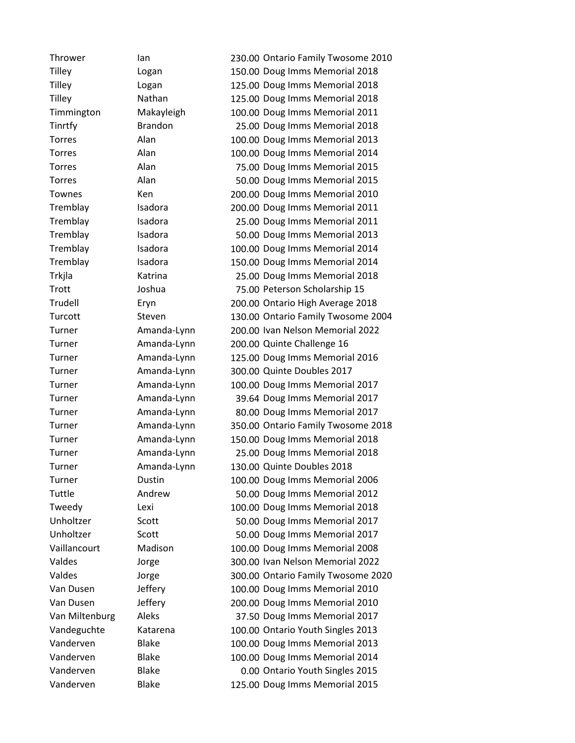Thrower Ian 230.00 Ontario Family Twosome 2010 Tilley Logan 150.00 Doug Imms Memorial 2018 Tilley Logan 125.00 Doug Imms Memorial 2018 Tilley Nathan 125.00 Doug Imms Memorial 2018 Timmington Makayleigh 100.00 Doug Imms Memorial 2011 Tinrtfy Brandon 25.00 Doug Imms Memorial 2018 Torres Alan 100.00 Doug Imms Memorial 2013 Torres Alan 100.00 Doug Imms Memorial 2014 Torres Alan 75.00 Doug Imms Memorial 2015 Torres Alan 50.00 Doug Imms Memorial 2015 Townes Ken 200.00 Doug Imms Memorial 2010 Tremblay Isadora 200.00 Doug Imms Memorial 2011 Tremblay Isadora 25.00 Doug Imms Memorial 2011 Tremblay Isadora 50.00 Doug Imms Memorial 2013 Tremblay Isadora 100.00 Doug Imms Memorial 2014 Tremblay Isadora 150.00 Doug Imms Memorial 2014 Trkjla Katrina 25.00 Doug Imms Memorial 2018 Trott Joshua 75.00 Peterson Scholarship 15 Trudell Eryn 200.00 Ontario High Average 2018 Turcott Steven 130.00 Ontario Family Twosome 2004 Turner Amanda-Lynn 200.00 Ivan Nelson Memorial 2022 Turner Amanda-Lynn 200.00 Quinte Challenge 16 Turner Amanda-Lynn 125.00 Doug Imms Memorial 2016 Turner Amanda-Lynn 300.00 Quinte Doubles 2017 Turner Amanda-Lynn 100.00 Doug Imms Memorial 2017 Turner Amanda-Lynn 39.64 Doug Imms Memorial 2017 Turner Amanda-Lynn 80.00 Doug Imms Memorial 2017 Turner Amanda-Lynn 350.00 Ontario Family Twosome 2018 Turner Amanda-Lynn 150.00 Doug Imms Memorial 2018 Turner Amanda-Lynn 25.00 Doug Imms Memorial 2018 Turner Amanda-Lynn 130.00 Quinte Doubles 2018 Turner Dustin 100.00 Doug Imms Memorial 2006 Tuttle Andrew 50.00 Doug Imms Memorial 2012 Tweedy Lexi 100.00 Doug Imms Memorial 2018 Unholtzer Scott 50.00 Doug Imms Memorial 2017 Unholtzer Scott 50.00 Doug Imms Memorial 2017 Vaillancourt Madison 100.00 Doug Imms Memorial 2008 Valdes Jorge 300.00 Ivan Nelson Memorial 2022 Valdes Jorge 300.00 Ontario Family Twosome 2020 Van Dusen Jeffery 100.00 Doug Imms Memorial 2010 Van Dusen Jeffery 200.00 Doug Imms Memorial 2010 Van Miltenburg Aleks 37.50 Doug Imms Memorial 2017 Vandeguchte Katarena 100.00 Ontario Youth Singles 2013 Vanderven Blake 100.00 Doug Imms Memorial 2013 Vanderven Blake 100.00 Doug Imms Memorial 2014 Vanderven Blake 0.00 Ontario Youth Singles 2015 Vanderven Blake 125.00 Doug Imms Memorial 2015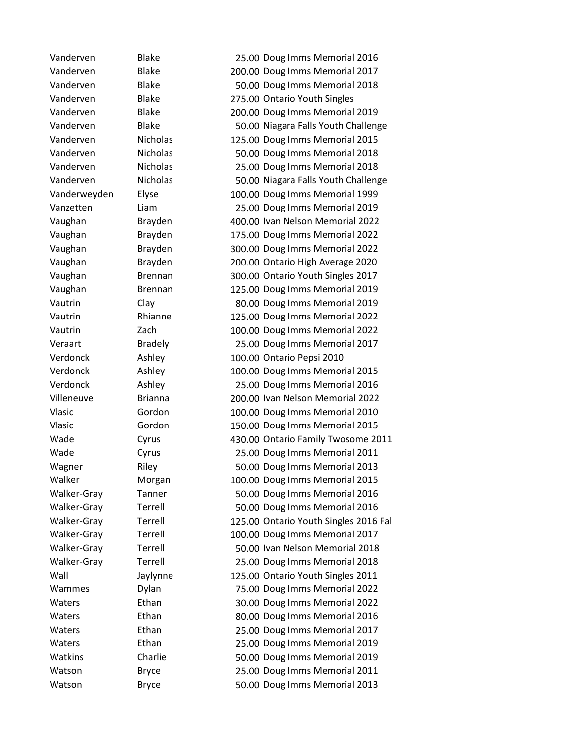Vanderven Blake 25.00 Doug Imms Memorial 2016 Vanderven Blake 200.00 Doug Imms Memorial 2017 Vanderven Blake 50.00 Doug Imms Memorial 2018 Vanderven Blake 275.00 Ontario Youth Singles Vanderven Blake 200.00 Doug Imms Memorial 2019 Vanderven Blake 50.00 Niagara Falls Youth Challenge Vanderven Nicholas 125.00 Doug Imms Memorial 2015 Vanderven Nicholas 50.00 Doug Imms Memorial 2018 Vanderven Nicholas 25.00 Doug Imms Memorial 2018 Vanderven Nicholas 50.00 Niagara Falls Youth Challenge Vanderweyden Elyse 100.00 Doug Imms Memorial 1999 Vanzetten Liam 25.00 Doug Imms Memorial 2019 Vaughan Brayden 400.00 Ivan Nelson Memorial 2022 Vaughan Brayden 175.00 Doug Imms Memorial 2022 Vaughan Brayden 300.00 Doug Imms Memorial 2022 Vaughan Brayden 200.00 Ontario High Average 2020 Vaughan Brennan 300.00 Ontario Youth Singles 2017 Vaughan Brennan 125.00 Doug Imms Memorial 2019 Vautrin Clay 80.00 Doug Imms Memorial 2019 Vautrin Rhianne 125.00 Doug Imms Memorial 2022 Vautrin Zach 100.00 Doug Imms Memorial 2022 Veraart Bradely 25.00 Doug Imms Memorial 2017 Verdonck Ashley 100.00 Ontario Pepsi 2010 Verdonck Ashley 100.00 Doug Imms Memorial 2015 Verdonck Ashley 25.00 Doug Imms Memorial 2016 Villeneuve Brianna 200.00 Ivan Nelson Memorial 2022 Vlasic Gordon 100.00 Doug Imms Memorial 2010 Vlasic Gordon 150.00 Doug Imms Memorial 2015 Wade Cyrus 430.00 Ontario Family Twosome 2011 Wade Cyrus 25.00 Doug Imms Memorial 2011 Wagner Riley Riley 50.00 Doug Imms Memorial 2013 Walker Morgan 100.00 Doug Imms Memorial 2015 Walker-Gray Tanner 50.00 Doug Imms Memorial 2016 Walker-Gray Terrell 50.00 Doug Imms Memorial 2016 Walker-Gray Terrell 125.00 Ontario Youth Singles 2016 Fal Walker-Gray Terrell 100.00 Doug Imms Memorial 2017 Walker-Gray Terrell 50.00 Ivan Nelson Memorial 2018 Walker-Gray Terrell 25.00 Doug Imms Memorial 2018 Wall Jaylynne 125.00 Ontario Youth Singles 2011 Wammes Dylan 75.00 Doug Imms Memorial 2022 Waters Ethan 30.00 Doug Imms Memorial 2022 Waters Ethan 60.00 Doug Imms Memorial 2016 Waters Ethan 25.00 Doug Imms Memorial 2017 Waters Ethan 25.00 Doug Imms Memorial 2019 Watkins Charlie 50.00 Doug Imms Memorial 2019 Watson Bryce 25.00 Doug Imms Memorial 2011 Watson Bryce 50.00 Doug Imms Memorial 2013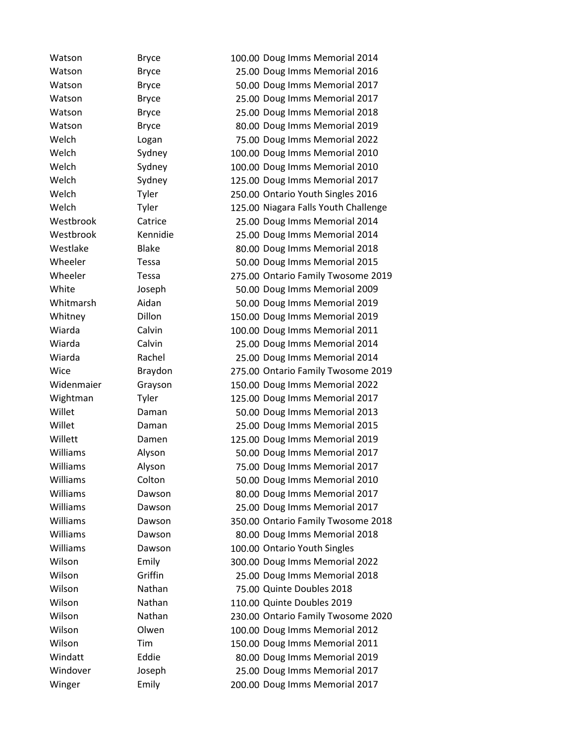Watson Bryce 100.00 Doug Imms Memorial 2014 Watson Bryce 25.00 Doug Imms Memorial 2016 Watson Bryce 50.00 Doug Imms Memorial 2017 Watson Bryce 25.00 Doug Imms Memorial 2017 Watson Bryce 25.00 Doug Imms Memorial 2018 Watson Bryce 80.00 Doug Imms Memorial 2019 Welch Logan 75.00 Doug Imms Memorial 2022 Welch Sydney 100.00 Doug Imms Memorial 2010 Welch Sydney 100.00 Doug Imms Memorial 2010 Welch Sydney 125.00 Doug Imms Memorial 2017 Welch Tyler 250.00 Ontario Youth Singles 2016 Welch Tyler 125.00 Niagara Falls Youth Challenge Westbrook Catrice 25.00 Doug Imms Memorial 2014 Westbrook Kennidie 25.00 Doug Imms Memorial 2014 Westlake Blake 80.00 Doug Imms Memorial 2018 Wheeler Tessa 50.00 Doug Imms Memorial 2015 Wheeler Tessa 275.00 Ontario Family Twosome 2019 White Joseph 50.00 Doug Imms Memorial 2009 Whitmarsh Aidan 50.00 Doug Imms Memorial 2019 Whitney Dillon 150.00 Doug Imms Memorial 2019 Wiarda Calvin 100.00 Doug Imms Memorial 2011 Wiarda Calvin 25.00 Doug Imms Memorial 2014 Wiarda Rachel 25.00 Doug Imms Memorial 2014 Wice Braydon 275.00 Ontario Family Twosome 2019 Widenmaier Grayson 150.00 Doug Imms Memorial 2022 Wightman Tyler 125.00 Doug Imms Memorial 2017 Willet Daman 50.00 Doug Imms Memorial 2013 Willet Daman 25.00 Doug Imms Memorial 2015 Willett Damen 125.00 Doug Imms Memorial 2019 Williams Alyson 50.00 Doug Imms Memorial 2017 Williams Melyson Alyson 75.00 Doug Imms Memorial 2017 Williams Colton 50.00 Doug Imms Memorial 2010 Williams **Dawson** 80.00 Doug Imms Memorial 2017 Williams Dawson 25.00 Doug Imms Memorial 2017 Williams Dawson 350.00 Ontario Family Twosome 2018 Williams Dawson 80.00 Doug Imms Memorial 2018 Williams **Dawson** 100.00 Ontario Youth Singles Wilson Emily 300.00 Doug Imms Memorial 2022 Wilson Griffin 25.00 Doug Imms Memorial 2018 Wilson Nathan 75.00 Quinte Doubles 2018 Wilson Nathan 110.00 Quinte Doubles 2019 Wilson Nathan 230.00 Ontario Family Twosome 2020 Wilson **Olwen** 100.00 Doug Imms Memorial 2012 Wilson Tim 150.00 Doug Imms Memorial 2011 Windatt Eddie 80.00 Doug Imms Memorial 2019 Windover Joseph 25.00 Doug Imms Memorial 2017 Winger Emily 200.00 Doug Imms Memorial 2017